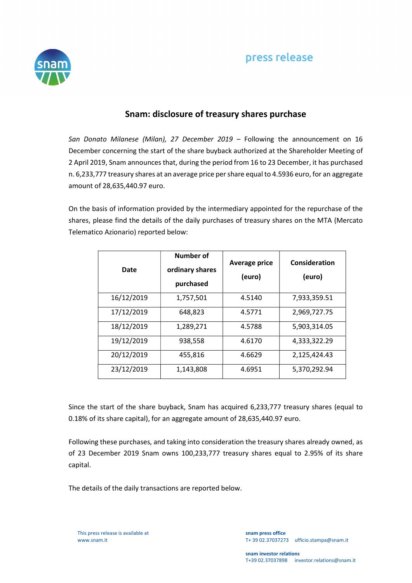

## Snam: disclosure of treasury shares purchase

San Donato Milanese (Milan), 27 December 2019 – Following the announcement on 16 December concerning the start of the share buyback authorized at the Shareholder Meeting of 2 April 2019, Snam announces that, during the period from 16 to 23 December, it has purchased n. 6,233,777 treasury shares at an average price per share equal to 4.5936 euro, for an aggregate amount of 28,635,440.97 euro.

On the basis of information provided by the intermediary appointed for the repurchase of the shares, please find the details of the daily purchases of treasury shares on the MTA (Mercato Telematico Azionario) reported below:

| Date       | Number of<br>ordinary shares<br>purchased | <b>Average price</b><br>(euro) | Consideration<br>(euro) |
|------------|-------------------------------------------|--------------------------------|-------------------------|
| 16/12/2019 | 1,757,501                                 | 4.5140                         | 7,933,359.51            |
| 17/12/2019 | 648,823                                   | 4.5771                         | 2,969,727.75            |
| 18/12/2019 | 1,289,271                                 | 4.5788                         | 5,903,314.05            |
| 19/12/2019 | 938,558                                   | 4.6170                         | 4,333,322.29            |
| 20/12/2019 | 455,816                                   | 4.6629                         | 2,125,424.43            |
| 23/12/2019 | 1,143,808                                 | 4.6951                         | 5,370,292.94            |

Since the start of the share buyback, Snam has acquired 6,233,777 treasury shares (equal to 0.18% of its share capital), for an aggregate amount of 28,635,440.97 euro.

Following these purchases, and taking into consideration the treasury shares already owned, as of 23 December 2019 Snam owns 100,233,777 treasury shares equal to 2.95% of its share capital.

The details of the daily transactions are reported below.

This press release is available at www.snam.it

snam press office T+ 39 02.37037273 ufficio.stampa@snam.it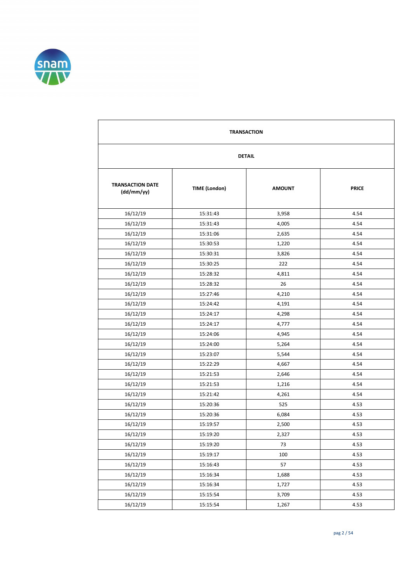

| <b>TRANSACTION</b>                    |                      |               |              |  |  |
|---------------------------------------|----------------------|---------------|--------------|--|--|
|                                       | <b>DETAIL</b>        |               |              |  |  |
| <b>TRANSACTION DATE</b><br>(dd/mm/yy) | <b>TIME (London)</b> | <b>AMOUNT</b> | <b>PRICE</b> |  |  |
| 16/12/19                              | 15:31:43             | 3,958         | 4.54         |  |  |
| 16/12/19                              | 15:31:43             | 4,005         | 4.54         |  |  |
| 16/12/19                              | 15:31:06             | 2,635         | 4.54         |  |  |
| 16/12/19                              | 15:30:53             | 1,220         | 4.54         |  |  |
| 16/12/19                              | 15:30:31             | 3,826         | 4.54         |  |  |
| 16/12/19                              | 15:30:25             | 222           | 4.54         |  |  |
| 16/12/19                              | 15:28:32             | 4,811         | 4.54         |  |  |
| 16/12/19                              | 15:28:32             | 26            | 4.54         |  |  |
| 16/12/19                              | 15:27:46             | 4,210         | 4.54         |  |  |
| 16/12/19                              | 15:24:42             | 4,191         | 4.54         |  |  |
| 16/12/19                              | 15:24:17             | 4,298         | 4.54         |  |  |
| 16/12/19                              | 15:24:17             | 4,777         | 4.54         |  |  |
| 16/12/19                              | 15:24:06             | 4,945         | 4.54         |  |  |
| 16/12/19                              | 15:24:00             | 5,264         | 4.54         |  |  |
| 16/12/19                              | 15:23:07             | 5,544         | 4.54         |  |  |
| 16/12/19                              | 15:22:29             | 4,667         | 4.54         |  |  |
| 16/12/19                              | 15:21:53             | 2,646         | 4.54         |  |  |
| 16/12/19                              | 15:21:53             | 1,216         | 4.54         |  |  |
| 16/12/19                              | 15:21:42             | 4,261         | 4.54         |  |  |
| 16/12/19                              | 15:20:36             | 525           | 4.53         |  |  |
| 16/12/19                              | 15:20:36             | 6,084         | 4.53         |  |  |
| 16/12/19                              | 15:19:57             | 2,500         | 4.53         |  |  |
| 16/12/19                              | 15:19:20             | 2,327         | 4.53         |  |  |
| 16/12/19                              | 15:19:20             | 73            | 4.53         |  |  |
| 16/12/19                              | 15:19:17             | 100           | 4.53         |  |  |
| 16/12/19                              | 15:16:43             | 57            | 4.53         |  |  |
| 16/12/19                              | 15:16:34             | 1,688         | 4.53         |  |  |
| 16/12/19                              | 15:16:34             | 1,727         | 4.53         |  |  |
| 16/12/19                              | 15:15:54             | 3,709         | 4.53         |  |  |
| 16/12/19                              | 15:15:54             | 1,267         | 4.53         |  |  |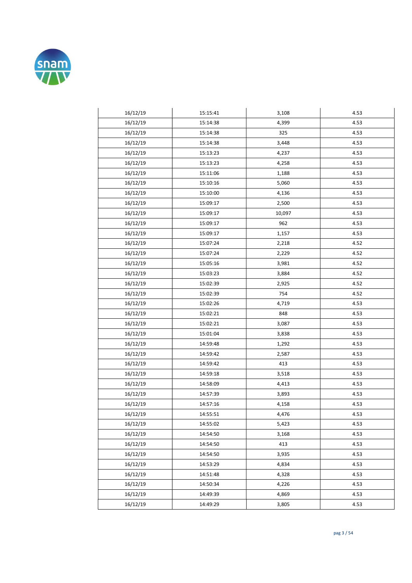

| 16/12/19 | 15:15:41 | 3,108  | 4.53 |
|----------|----------|--------|------|
| 16/12/19 | 15:14:38 | 4,399  | 4.53 |
| 16/12/19 | 15:14:38 | 325    | 4.53 |
| 16/12/19 | 15:14:38 | 3,448  | 4.53 |
| 16/12/19 | 15:13:23 | 4,237  | 4.53 |
| 16/12/19 | 15:13:23 | 4,258  | 4.53 |
| 16/12/19 | 15:11:06 | 1,188  | 4.53 |
| 16/12/19 | 15:10:16 | 5,060  | 4.53 |
| 16/12/19 | 15:10:00 | 4,136  | 4.53 |
| 16/12/19 | 15:09:17 | 2,500  | 4.53 |
| 16/12/19 | 15:09:17 | 10,097 | 4.53 |
| 16/12/19 | 15:09:17 | 962    | 4.53 |
| 16/12/19 | 15:09:17 | 1,157  | 4.53 |
| 16/12/19 | 15:07:24 | 2,218  | 4.52 |
| 16/12/19 | 15:07:24 | 2,229  | 4.52 |
| 16/12/19 | 15:05:16 | 3,981  | 4.52 |
| 16/12/19 | 15:03:23 | 3,884  | 4.52 |
| 16/12/19 | 15:02:39 | 2,925  | 4.52 |
| 16/12/19 | 15:02:39 | 754    | 4.52 |
| 16/12/19 | 15:02:26 | 4,719  | 4.53 |
| 16/12/19 | 15:02:21 | 848    | 4.53 |
| 16/12/19 | 15:02:21 | 3,087  | 4.53 |
| 16/12/19 | 15:01:04 | 3,838  | 4.53 |
| 16/12/19 | 14:59:48 | 1,292  | 4.53 |
| 16/12/19 | 14:59:42 | 2,587  | 4.53 |
| 16/12/19 | 14:59:42 | 413    | 4.53 |
| 16/12/19 | 14:59:18 | 3,518  | 4.53 |
| 16/12/19 | 14:58:09 | 4,413  | 4.53 |
| 16/12/19 | 14:57:39 | 3,893  | 4.53 |
| 16/12/19 | 14:57:16 | 4,158  | 4.53 |
| 16/12/19 | 14:55:51 | 4,476  | 4.53 |
| 16/12/19 | 14:55:02 | 5,423  | 4.53 |
| 16/12/19 | 14:54:50 | 3,168  | 4.53 |
| 16/12/19 | 14:54:50 | 413    | 4.53 |
| 16/12/19 | 14:54:50 | 3,935  | 4.53 |
| 16/12/19 | 14:53:29 | 4,834  | 4.53 |
| 16/12/19 | 14:51:48 | 4,328  | 4.53 |
| 16/12/19 | 14:50:34 | 4,226  | 4.53 |
| 16/12/19 | 14:49:39 | 4,869  | 4.53 |
| 16/12/19 | 14:49:29 | 3,805  | 4.53 |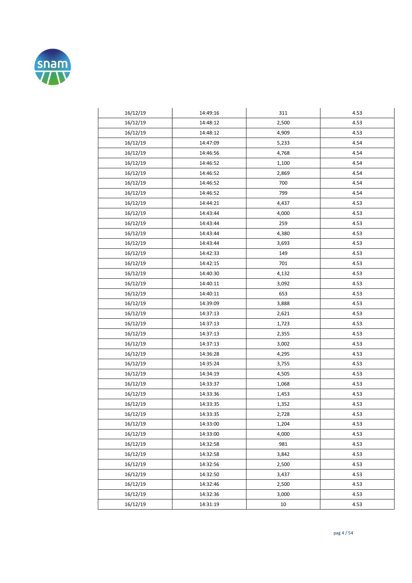

| 16/12/19 | 14:49:16 | 311   | 4.53 |
|----------|----------|-------|------|
| 16/12/19 | 14:48:12 | 2,500 | 4.53 |
| 16/12/19 | 14:48:12 | 4,909 | 4.53 |
| 16/12/19 | 14:47:09 | 5,233 | 4.54 |
| 16/12/19 | 14:46:56 | 4,768 | 4.54 |
| 16/12/19 | 14:46:52 | 1,100 | 4.54 |
| 16/12/19 | 14:46:52 | 2,869 | 4.54 |
| 16/12/19 | 14:46:52 | 700   | 4.54 |
| 16/12/19 | 14:46:52 | 799   | 4.54 |
| 16/12/19 | 14:44:21 | 4,437 | 4.53 |
| 16/12/19 | 14:43:44 | 4,000 | 4.53 |
| 16/12/19 | 14:43:44 | 259   | 4.53 |
| 16/12/19 | 14:43:44 | 4,380 | 4.53 |
| 16/12/19 | 14:43:44 | 3,693 | 4.53 |
| 16/12/19 | 14:42:33 | 149   | 4.53 |
| 16/12/19 | 14:42:15 | 701   | 4.53 |
| 16/12/19 | 14:40:30 | 4,132 | 4.53 |
| 16/12/19 | 14:40:11 | 3,092 | 4.53 |
| 16/12/19 | 14:40:11 | 653   | 4.53 |
| 16/12/19 | 14:39:09 | 3,888 | 4.53 |
| 16/12/19 | 14:37:13 | 2,621 | 4.53 |
| 16/12/19 | 14:37:13 | 1,723 | 4.53 |
| 16/12/19 | 14:37:13 | 2,355 | 4.53 |
| 16/12/19 | 14:37:13 | 3,002 | 4.53 |
| 16/12/19 | 14:36:28 | 4,295 | 4.53 |
| 16/12/19 | 14:35:24 | 3,755 | 4.53 |
| 16/12/19 | 14:34:19 | 4,505 | 4.53 |
| 16/12/19 | 14:33:37 | 1,068 | 4.53 |
| 16/12/19 | 14:33:36 | 1,453 | 4.53 |
| 16/12/19 | 14:33:35 | 1,352 | 4.53 |
| 16/12/19 | 14:33:35 | 2,728 | 4.53 |
| 16/12/19 | 14:33:00 | 1,204 | 4.53 |
| 16/12/19 | 14:33:00 | 4,000 | 4.53 |
| 16/12/19 | 14:32:58 | 981   | 4.53 |
| 16/12/19 | 14:32:58 | 3,842 | 4.53 |
| 16/12/19 | 14:32:56 | 2,500 | 4.53 |
| 16/12/19 | 14:32:50 | 3,437 | 4.53 |
| 16/12/19 | 14:32:46 | 2,500 | 4.53 |
| 16/12/19 | 14:32:36 | 3,000 | 4.53 |
| 16/12/19 | 14:31:19 | 10    | 4.53 |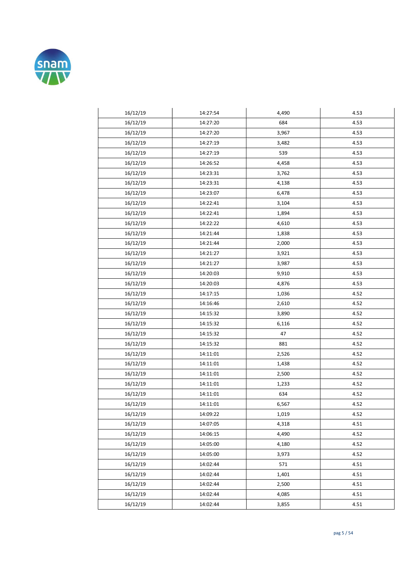

| 16/12/19 | 14:27:54 | 4,490 | 4.53 |
|----------|----------|-------|------|
| 16/12/19 | 14:27:20 | 684   | 4.53 |
| 16/12/19 | 14:27:20 | 3,967 | 4.53 |
| 16/12/19 | 14:27:19 | 3,482 | 4.53 |
| 16/12/19 | 14:27:19 | 539   | 4.53 |
| 16/12/19 | 14:26:52 | 4,458 | 4.53 |
| 16/12/19 | 14:23:31 | 3,762 | 4.53 |
| 16/12/19 | 14:23:31 | 4,138 | 4.53 |
| 16/12/19 | 14:23:07 | 6,478 | 4.53 |
| 16/12/19 | 14:22:41 | 3,104 | 4.53 |
| 16/12/19 | 14:22:41 | 1,894 | 4.53 |
| 16/12/19 | 14:22:22 | 4,610 | 4.53 |
| 16/12/19 | 14:21:44 | 1,838 | 4.53 |
| 16/12/19 | 14:21:44 | 2,000 | 4.53 |
| 16/12/19 | 14:21:27 | 3,921 | 4.53 |
| 16/12/19 | 14:21:27 | 3,987 | 4.53 |
| 16/12/19 | 14:20:03 | 9,910 | 4.53 |
| 16/12/19 | 14:20:03 | 4,876 | 4.53 |
| 16/12/19 | 14:17:15 | 1,036 | 4.52 |
| 16/12/19 | 14:16:46 | 2,610 | 4.52 |
| 16/12/19 | 14:15:32 | 3,890 | 4.52 |
| 16/12/19 | 14:15:32 | 6,116 | 4.52 |
| 16/12/19 | 14:15:32 | 47    | 4.52 |
| 16/12/19 | 14:15:32 | 881   | 4.52 |
| 16/12/19 | 14:11:01 | 2,526 | 4.52 |
| 16/12/19 | 14:11:01 | 1,438 | 4.52 |
| 16/12/19 | 14:11:01 | 2,500 | 4.52 |
| 16/12/19 | 14:11:01 | 1,233 | 4.52 |
| 16/12/19 | 14:11:01 | 634   | 4.52 |
| 16/12/19 | 14:11:01 | 6,567 | 4.52 |
| 16/12/19 | 14:09:22 | 1,019 | 4.52 |
| 16/12/19 | 14:07:05 | 4,318 | 4.51 |
| 16/12/19 | 14:06:15 | 4,490 | 4.52 |
| 16/12/19 | 14:05:00 | 4,180 | 4.52 |
| 16/12/19 | 14:05:00 | 3,973 | 4.52 |
| 16/12/19 | 14:02:44 | 571   | 4.51 |
| 16/12/19 | 14:02:44 | 1,401 | 4.51 |
| 16/12/19 | 14:02:44 | 2,500 | 4.51 |
| 16/12/19 | 14:02:44 | 4,085 | 4.51 |
| 16/12/19 | 14:02:44 | 3,855 | 4.51 |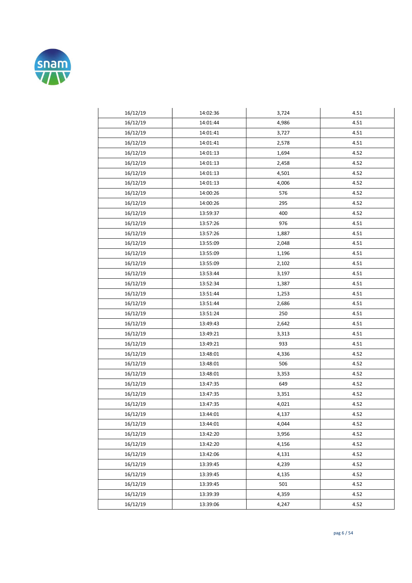

| 16/12/19 | 14:02:36 | 3,724 | 4.51 |
|----------|----------|-------|------|
| 16/12/19 | 14:01:44 | 4,986 | 4.51 |
| 16/12/19 | 14:01:41 | 3,727 | 4.51 |
| 16/12/19 | 14:01:41 | 2,578 | 4.51 |
| 16/12/19 | 14:01:13 | 1,694 | 4.52 |
| 16/12/19 | 14:01:13 | 2,458 | 4.52 |
| 16/12/19 | 14:01:13 | 4,501 | 4.52 |
| 16/12/19 | 14:01:13 | 4,006 | 4.52 |
| 16/12/19 | 14:00:26 | 576   | 4.52 |
| 16/12/19 | 14:00:26 | 295   | 4.52 |
| 16/12/19 | 13:59:37 | 400   | 4.52 |
| 16/12/19 | 13:57:26 | 976   | 4.51 |
| 16/12/19 | 13:57:26 | 1,887 | 4.51 |
| 16/12/19 | 13:55:09 | 2,048 | 4.51 |
| 16/12/19 | 13:55:09 | 1,196 | 4.51 |
| 16/12/19 | 13:55:09 | 2,102 | 4.51 |
| 16/12/19 | 13:53:44 | 3,197 | 4.51 |
| 16/12/19 | 13:52:34 | 1,387 | 4.51 |
| 16/12/19 | 13:51:44 | 1,253 | 4.51 |
| 16/12/19 | 13:51:44 | 2,686 | 4.51 |
| 16/12/19 | 13:51:24 | 250   | 4.51 |
| 16/12/19 | 13:49:43 | 2,642 | 4.51 |
| 16/12/19 | 13:49:21 | 3,313 | 4.51 |
| 16/12/19 | 13:49:21 | 933   | 4.51 |
| 16/12/19 | 13:48:01 | 4,336 | 4.52 |
| 16/12/19 | 13:48:01 | 506   | 4.52 |
| 16/12/19 | 13:48:01 | 3,353 | 4.52 |
| 16/12/19 | 13:47:35 | 649   | 4.52 |
| 16/12/19 | 13:47:35 | 3,351 | 4.52 |
| 16/12/19 | 13:47:35 | 4,021 | 4.52 |
| 16/12/19 | 13:44:01 | 4,137 | 4.52 |
| 16/12/19 | 13:44:01 | 4,044 | 4.52 |
| 16/12/19 | 13:42:20 | 3,956 | 4.52 |
| 16/12/19 | 13:42:20 | 4,156 | 4.52 |
| 16/12/19 | 13:42:06 | 4,131 | 4.52 |
| 16/12/19 | 13:39:45 | 4,239 | 4.52 |
| 16/12/19 | 13:39:45 | 4,135 | 4.52 |
| 16/12/19 | 13:39:45 | 501   | 4.52 |
| 16/12/19 | 13:39:39 | 4,359 | 4.52 |
| 16/12/19 | 13:39:06 | 4,247 | 4.52 |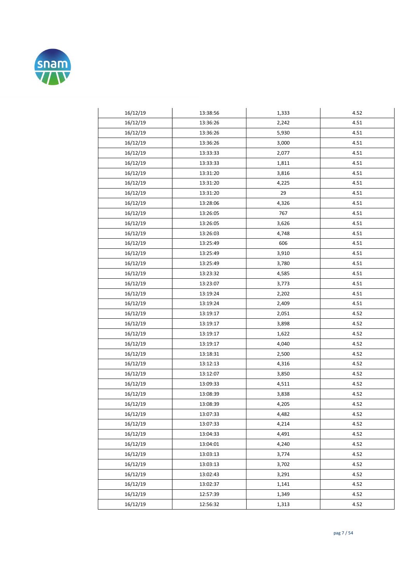

| 16/12/19 | 13:38:56 | 1,333 | 4.52 |
|----------|----------|-------|------|
| 16/12/19 | 13:36:26 | 2,242 | 4.51 |
| 16/12/19 | 13:36:26 | 5,930 | 4.51 |
| 16/12/19 | 13:36:26 | 3,000 | 4.51 |
| 16/12/19 | 13:33:33 | 2,077 | 4.51 |
| 16/12/19 | 13:33:33 | 1,811 | 4.51 |
| 16/12/19 | 13:31:20 | 3,816 | 4.51 |
| 16/12/19 | 13:31:20 | 4,225 | 4.51 |
| 16/12/19 | 13:31:20 | 29    | 4.51 |
| 16/12/19 | 13:28:06 | 4,326 | 4.51 |
| 16/12/19 | 13:26:05 | 767   | 4.51 |
| 16/12/19 | 13:26:05 | 3,626 | 4.51 |
| 16/12/19 | 13:26:03 | 4,748 | 4.51 |
| 16/12/19 | 13:25:49 | 606   | 4.51 |
| 16/12/19 | 13:25:49 | 3,910 | 4.51 |
| 16/12/19 | 13:25:49 | 3,780 | 4.51 |
| 16/12/19 | 13:23:32 | 4,585 | 4.51 |
| 16/12/19 | 13:23:07 | 3,773 | 4.51 |
| 16/12/19 | 13:19:24 | 2,202 | 4.51 |
| 16/12/19 | 13:19:24 | 2,409 | 4.51 |
| 16/12/19 | 13:19:17 | 2,051 | 4.52 |
| 16/12/19 | 13:19:17 | 3,898 | 4.52 |
| 16/12/19 | 13:19:17 | 1,622 | 4.52 |
| 16/12/19 | 13:19:17 | 4,040 | 4.52 |
| 16/12/19 | 13:18:31 | 2,500 | 4.52 |
| 16/12/19 | 13:12:13 | 4,316 | 4.52 |
| 16/12/19 | 13:12:07 | 3,850 | 4.52 |
| 16/12/19 | 13:09:33 | 4,511 | 4.52 |
| 16/12/19 | 13:08:39 | 3,838 | 4.52 |
| 16/12/19 | 13:08:39 | 4,205 | 4.52 |
| 16/12/19 | 13:07:33 | 4,482 | 4.52 |
| 16/12/19 | 13:07:33 | 4,214 | 4.52 |
| 16/12/19 | 13:04:33 | 4,491 | 4.52 |
| 16/12/19 | 13:04:01 | 4,240 | 4.52 |
| 16/12/19 | 13:03:13 | 3,774 | 4.52 |
| 16/12/19 | 13:03:13 | 3,702 | 4.52 |
| 16/12/19 | 13:02:43 | 3,291 | 4.52 |
| 16/12/19 | 13:02:37 | 1,141 | 4.52 |
| 16/12/19 | 12:57:39 | 1,349 | 4.52 |
| 16/12/19 | 12:56:32 | 1,313 | 4.52 |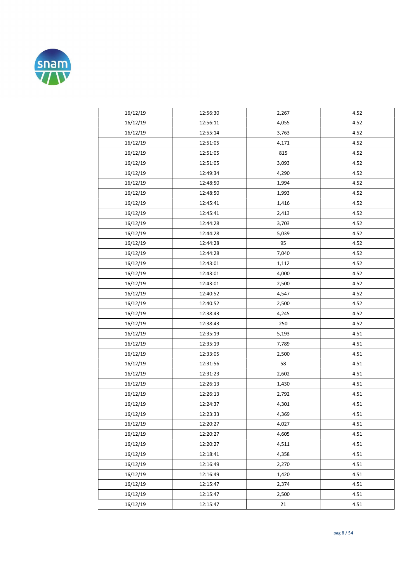

| 16/12/19 | 12:56:30 | 2,267 | 4.52 |
|----------|----------|-------|------|
| 16/12/19 | 12:56:11 | 4,055 | 4.52 |
| 16/12/19 | 12:55:14 | 3,763 | 4.52 |
| 16/12/19 | 12:51:05 | 4,171 | 4.52 |
| 16/12/19 | 12:51:05 | 815   | 4.52 |
| 16/12/19 | 12:51:05 | 3,093 | 4.52 |
| 16/12/19 | 12:49:34 | 4,290 | 4.52 |
| 16/12/19 | 12:48:50 | 1,994 | 4.52 |
| 16/12/19 | 12:48:50 | 1,993 | 4.52 |
| 16/12/19 | 12:45:41 | 1,416 | 4.52 |
| 16/12/19 | 12:45:41 | 2,413 | 4.52 |
| 16/12/19 | 12:44:28 | 3,703 | 4.52 |
| 16/12/19 | 12:44:28 | 5,039 | 4.52 |
| 16/12/19 | 12:44:28 | 95    | 4.52 |
| 16/12/19 | 12:44:28 | 7,040 | 4.52 |
| 16/12/19 | 12:43:01 | 1,112 | 4.52 |
| 16/12/19 | 12:43:01 | 4,000 | 4.52 |
| 16/12/19 | 12:43:01 | 2,500 | 4.52 |
| 16/12/19 | 12:40:52 | 4,547 | 4.52 |
| 16/12/19 | 12:40:52 | 2,500 | 4.52 |
| 16/12/19 | 12:38:43 | 4,245 | 4.52 |
| 16/12/19 | 12:38:43 | 250   | 4.52 |
| 16/12/19 | 12:35:19 | 5,193 | 4.51 |
| 16/12/19 | 12:35:19 | 7,789 | 4.51 |
| 16/12/19 | 12:33:05 | 2,500 | 4.51 |
| 16/12/19 | 12:31:56 | 58    | 4.51 |
| 16/12/19 | 12:31:23 | 2,602 | 4.51 |
| 16/12/19 | 12:26:13 | 1,430 | 4.51 |
| 16/12/19 | 12:26:13 | 2,792 | 4.51 |
| 16/12/19 | 12:24:37 | 4,301 | 4.51 |
| 16/12/19 | 12:23:33 | 4,369 | 4.51 |
| 16/12/19 | 12:20:27 | 4,027 | 4.51 |
| 16/12/19 | 12:20:27 | 4,605 | 4.51 |
| 16/12/19 | 12:20:27 | 4,511 | 4.51 |
| 16/12/19 | 12:18:41 | 4,358 | 4.51 |
| 16/12/19 | 12:16:49 | 2,270 | 4.51 |
| 16/12/19 | 12:16:49 | 1,420 | 4.51 |
| 16/12/19 | 12:15:47 | 2,374 | 4.51 |
| 16/12/19 | 12:15:47 | 2,500 | 4.51 |
| 16/12/19 | 12:15:47 | 21    | 4.51 |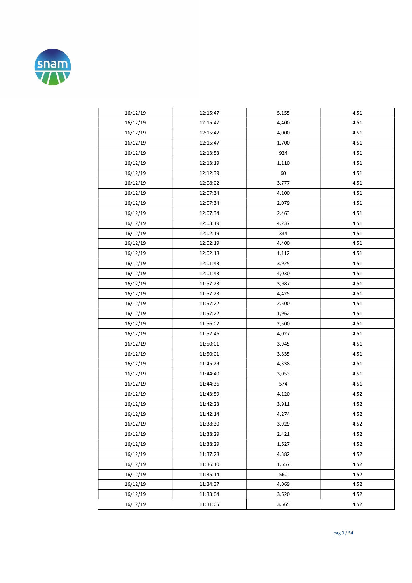

| 16/12/19 | 12:15:47 | 5,155 | 4.51 |
|----------|----------|-------|------|
| 16/12/19 | 12:15:47 | 4,400 | 4.51 |
| 16/12/19 | 12:15:47 | 4,000 | 4.51 |
| 16/12/19 | 12:15:47 | 1,700 | 4.51 |
| 16/12/19 | 12:13:53 | 924   | 4.51 |
| 16/12/19 | 12:13:19 | 1,110 | 4.51 |
| 16/12/19 | 12:12:39 | 60    | 4.51 |
| 16/12/19 | 12:08:02 | 3,777 | 4.51 |
| 16/12/19 | 12:07:34 | 4,100 | 4.51 |
| 16/12/19 | 12:07:34 | 2,079 | 4.51 |
| 16/12/19 | 12:07:34 | 2,463 | 4.51 |
| 16/12/19 | 12:03:19 | 4,237 | 4.51 |
| 16/12/19 | 12:02:19 | 334   | 4.51 |
| 16/12/19 | 12:02:19 | 4,400 | 4.51 |
| 16/12/19 | 12:02:18 | 1,112 | 4.51 |
| 16/12/19 | 12:01:43 | 3,925 | 4.51 |
| 16/12/19 | 12:01:43 | 4,030 | 4.51 |
| 16/12/19 | 11:57:23 | 3,987 | 4.51 |
| 16/12/19 | 11:57:23 | 4,425 | 4.51 |
| 16/12/19 | 11:57:22 | 2,500 | 4.51 |
| 16/12/19 | 11:57:22 | 1,962 | 4.51 |
| 16/12/19 | 11:56:02 | 2,500 | 4.51 |
| 16/12/19 | 11:52:46 | 4,027 | 4.51 |
| 16/12/19 | 11:50:01 | 3,945 | 4.51 |
| 16/12/19 | 11:50:01 | 3,835 | 4.51 |
| 16/12/19 | 11:45:29 | 4,338 | 4.51 |
| 16/12/19 | 11:44:40 | 3,053 | 4.51 |
| 16/12/19 | 11:44:36 | 574   | 4.51 |
| 16/12/19 | 11:43:59 | 4,120 | 4.52 |
| 16/12/19 | 11:42:23 | 3,911 | 4.52 |
| 16/12/19 | 11:42:14 | 4,274 | 4.52 |
| 16/12/19 | 11:38:30 | 3,929 | 4.52 |
| 16/12/19 | 11:38:29 | 2,421 | 4.52 |
| 16/12/19 | 11:38:29 | 1,627 | 4.52 |
| 16/12/19 | 11:37:28 | 4,382 | 4.52 |
| 16/12/19 | 11:36:10 | 1,657 | 4.52 |
| 16/12/19 | 11:35:14 | 560   | 4.52 |
| 16/12/19 | 11:34:37 | 4,069 | 4.52 |
| 16/12/19 | 11:33:04 | 3,620 | 4.52 |
| 16/12/19 | 11:31:05 | 3,665 | 4.52 |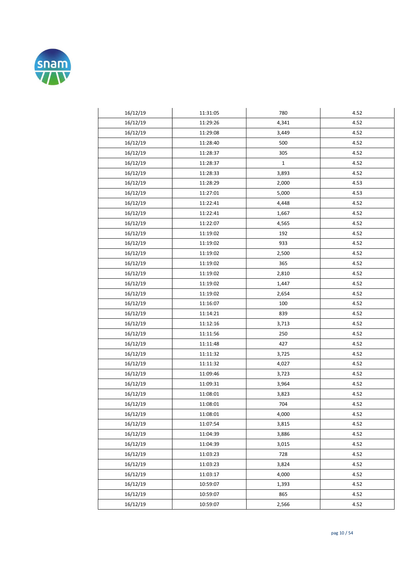

| 16/12/19 | 11:31:05 | 780          | 4.52 |
|----------|----------|--------------|------|
| 16/12/19 | 11:29:26 | 4,341        | 4.52 |
| 16/12/19 | 11:29:08 | 3,449        | 4.52 |
| 16/12/19 | 11:28:40 | 500          | 4.52 |
| 16/12/19 | 11:28:37 | 305          | 4.52 |
| 16/12/19 | 11:28:37 | $\mathbf{1}$ | 4.52 |
| 16/12/19 | 11:28:33 | 3,893        | 4.52 |
| 16/12/19 | 11:28:29 | 2,000        | 4.53 |
| 16/12/19 | 11:27:01 | 5,000        | 4.53 |
| 16/12/19 | 11:22:41 | 4,448        | 4.52 |
| 16/12/19 | 11:22:41 | 1,667        | 4.52 |
| 16/12/19 | 11:22:07 | 4,565        | 4.52 |
| 16/12/19 | 11:19:02 | 192          | 4.52 |
| 16/12/19 | 11:19:02 | 933          | 4.52 |
| 16/12/19 | 11:19:02 | 2,500        | 4.52 |
| 16/12/19 | 11:19:02 | 365          | 4.52 |
| 16/12/19 | 11:19:02 | 2,810        | 4.52 |
| 16/12/19 | 11:19:02 | 1,447        | 4.52 |
| 16/12/19 | 11:19:02 | 2,654        | 4.52 |
| 16/12/19 | 11:16:07 | 100          | 4.52 |
| 16/12/19 | 11:14:21 | 839          | 4.52 |
| 16/12/19 | 11:12:16 | 3,713        | 4.52 |
| 16/12/19 | 11:11:56 | 250          | 4.52 |
| 16/12/19 | 11:11:48 | 427          | 4.52 |
| 16/12/19 | 11:11:32 | 3,725        | 4.52 |
| 16/12/19 | 11:11:32 | 4,027        | 4.52 |
| 16/12/19 | 11:09:46 | 3,723        | 4.52 |
| 16/12/19 | 11:09:31 | 3,964        | 4.52 |
| 16/12/19 | 11:08:01 | 3,823        | 4.52 |
| 16/12/19 | 11:08:01 | 704          | 4.52 |
| 16/12/19 | 11:08:01 | 4,000        | 4.52 |
| 16/12/19 | 11:07:54 | 3,815        | 4.52 |
| 16/12/19 | 11:04:39 | 3,886        | 4.52 |
| 16/12/19 | 11:04:39 | 3,015        | 4.52 |
| 16/12/19 | 11:03:23 | 728          | 4.52 |
| 16/12/19 | 11:03:23 | 3,824        | 4.52 |
| 16/12/19 | 11:03:17 | 4,000        | 4.52 |
| 16/12/19 | 10:59:07 | 1,393        | 4.52 |
| 16/12/19 | 10:59:07 | 865          | 4.52 |
| 16/12/19 | 10:59:07 | 2,566        | 4.52 |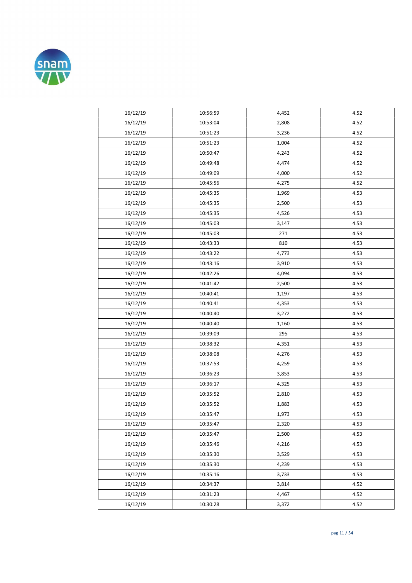

| 16/12/19 | 10:56:59 | 4,452 | 4.52 |
|----------|----------|-------|------|
| 16/12/19 | 10:53:04 | 2,808 | 4.52 |
| 16/12/19 | 10:51:23 | 3,236 | 4.52 |
| 16/12/19 | 10:51:23 | 1,004 | 4.52 |
| 16/12/19 | 10:50:47 | 4,243 | 4.52 |
| 16/12/19 | 10:49:48 | 4,474 | 4.52 |
| 16/12/19 | 10:49:09 | 4,000 | 4.52 |
| 16/12/19 | 10:45:56 | 4,275 | 4.52 |
| 16/12/19 | 10:45:35 | 1,969 | 4.53 |
| 16/12/19 | 10:45:35 | 2,500 | 4.53 |
| 16/12/19 | 10:45:35 | 4,526 | 4.53 |
| 16/12/19 | 10:45:03 | 3,147 | 4.53 |
| 16/12/19 | 10:45:03 | 271   | 4.53 |
| 16/12/19 | 10:43:33 | 810   | 4.53 |
| 16/12/19 | 10:43:22 | 4,773 | 4.53 |
| 16/12/19 | 10:43:16 | 3,910 | 4.53 |
| 16/12/19 | 10:42:26 | 4,094 | 4.53 |
| 16/12/19 | 10:41:42 | 2,500 | 4.53 |
| 16/12/19 | 10:40:41 | 1,197 | 4.53 |
| 16/12/19 | 10:40:41 | 4,353 | 4.53 |
| 16/12/19 | 10:40:40 | 3,272 | 4.53 |
| 16/12/19 | 10:40:40 | 1,160 | 4.53 |
| 16/12/19 | 10:39:09 | 295   | 4.53 |
| 16/12/19 | 10:38:32 | 4,351 | 4.53 |
| 16/12/19 | 10:38:08 | 4,276 | 4.53 |
| 16/12/19 | 10:37:53 | 4,259 | 4.53 |
| 16/12/19 | 10:36:23 | 3,853 | 4.53 |
| 16/12/19 | 10:36:17 | 4,325 | 4.53 |
| 16/12/19 | 10:35:52 | 2,810 | 4.53 |
| 16/12/19 | 10:35:52 | 1,883 | 4.53 |
| 16/12/19 | 10:35:47 | 1,973 | 4.53 |
| 16/12/19 | 10:35:47 | 2,320 | 4.53 |
| 16/12/19 | 10:35:47 | 2,500 | 4.53 |
| 16/12/19 | 10:35:46 | 4,216 | 4.53 |
| 16/12/19 | 10:35:30 | 3,529 | 4.53 |
| 16/12/19 | 10:35:30 | 4,239 | 4.53 |
| 16/12/19 | 10:35:16 | 3,733 | 4.53 |
| 16/12/19 | 10:34:37 | 3,814 | 4.52 |
| 16/12/19 | 10:31:23 | 4,467 | 4.52 |
| 16/12/19 | 10:30:28 | 3,372 | 4.52 |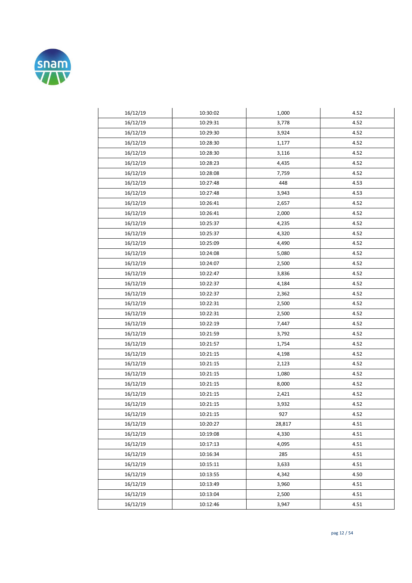

| 16/12/19 | 10:30:02 | 1,000  | 4.52 |
|----------|----------|--------|------|
| 16/12/19 | 10:29:31 | 3,778  | 4.52 |
| 16/12/19 | 10:29:30 | 3,924  | 4.52 |
| 16/12/19 | 10:28:30 | 1,177  | 4.52 |
| 16/12/19 | 10:28:30 | 3,116  | 4.52 |
| 16/12/19 | 10:28:23 | 4,435  | 4.52 |
| 16/12/19 | 10:28:08 | 7,759  | 4.52 |
| 16/12/19 | 10:27:48 | 448    | 4.53 |
| 16/12/19 | 10:27:48 | 3,943  | 4.53 |
| 16/12/19 | 10:26:41 | 2,657  | 4.52 |
| 16/12/19 | 10:26:41 | 2,000  | 4.52 |
| 16/12/19 | 10:25:37 | 4,235  | 4.52 |
| 16/12/19 | 10:25:37 | 4,320  | 4.52 |
| 16/12/19 | 10:25:09 | 4,490  | 4.52 |
| 16/12/19 | 10:24:08 | 5,080  | 4.52 |
| 16/12/19 | 10:24:07 | 2,500  | 4.52 |
| 16/12/19 | 10:22:47 | 3,836  | 4.52 |
| 16/12/19 | 10:22:37 | 4,184  | 4.52 |
| 16/12/19 | 10:22:37 | 2,362  | 4.52 |
| 16/12/19 | 10:22:31 | 2,500  | 4.52 |
| 16/12/19 | 10:22:31 | 2,500  | 4.52 |
| 16/12/19 | 10:22:19 | 7,447  | 4.52 |
| 16/12/19 | 10:21:59 | 3,792  | 4.52 |
| 16/12/19 | 10:21:57 | 1,754  | 4.52 |
| 16/12/19 | 10:21:15 | 4,198  | 4.52 |
| 16/12/19 | 10:21:15 | 2,123  | 4.52 |
| 16/12/19 | 10:21:15 | 1,080  | 4.52 |
| 16/12/19 | 10:21:15 | 8,000  | 4.52 |
| 16/12/19 | 10:21:15 | 2,421  | 4.52 |
| 16/12/19 | 10:21:15 | 3,932  | 4.52 |
| 16/12/19 | 10:21:15 | 927    | 4.52 |
| 16/12/19 | 10:20:27 | 28,817 | 4.51 |
| 16/12/19 | 10:19:08 | 4,330  | 4.51 |
| 16/12/19 | 10:17:13 | 4,095  | 4.51 |
| 16/12/19 | 10:16:34 | 285    | 4.51 |
| 16/12/19 | 10:15:11 | 3,633  | 4.51 |
| 16/12/19 | 10:13:55 | 4,342  | 4.50 |
| 16/12/19 | 10:13:49 | 3,960  | 4.51 |
| 16/12/19 | 10:13:04 | 2,500  | 4.51 |
| 16/12/19 | 10:12:46 | 3,947  | 4.51 |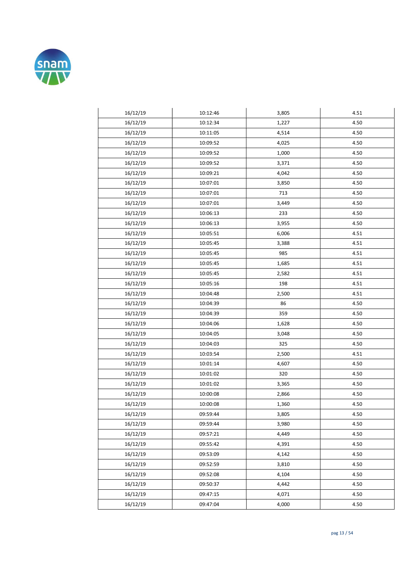

| 16/12/19 | 10:12:46 | 3,805 | 4.51 |
|----------|----------|-------|------|
| 16/12/19 | 10:12:34 | 1,227 | 4.50 |
| 16/12/19 | 10:11:05 | 4,514 | 4.50 |
| 16/12/19 | 10:09:52 | 4,025 | 4.50 |
| 16/12/19 | 10:09:52 | 1,000 | 4.50 |
| 16/12/19 | 10:09:52 | 3,371 | 4.50 |
| 16/12/19 | 10:09:21 | 4,042 | 4.50 |
| 16/12/19 | 10:07:01 | 3,850 | 4.50 |
| 16/12/19 | 10:07:01 | 713   | 4.50 |
| 16/12/19 | 10:07:01 | 3,449 | 4.50 |
| 16/12/19 | 10:06:13 | 233   | 4.50 |
| 16/12/19 | 10:06:13 | 3,955 | 4.50 |
| 16/12/19 | 10:05:51 | 6,006 | 4.51 |
| 16/12/19 | 10:05:45 | 3,388 | 4.51 |
| 16/12/19 | 10:05:45 | 985   | 4.51 |
| 16/12/19 | 10:05:45 | 1,685 | 4.51 |
| 16/12/19 | 10:05:45 | 2,582 | 4.51 |
| 16/12/19 | 10:05:16 | 198   | 4.51 |
| 16/12/19 | 10:04:48 | 2,500 | 4.51 |
| 16/12/19 | 10:04:39 | 86    | 4.50 |
| 16/12/19 | 10:04:39 | 359   | 4.50 |
| 16/12/19 | 10:04:06 | 1,628 | 4.50 |
| 16/12/19 | 10:04:05 | 3,048 | 4.50 |
| 16/12/19 | 10:04:03 | 325   | 4.50 |
| 16/12/19 | 10:03:54 | 2,500 | 4.51 |
| 16/12/19 | 10:01:14 | 4,607 | 4.50 |
| 16/12/19 | 10:01:02 | 320   | 4.50 |
| 16/12/19 | 10:01:02 | 3,365 | 4.50 |
| 16/12/19 | 10:00:08 | 2,866 | 4.50 |
| 16/12/19 | 10:00:08 | 1,360 | 4.50 |
| 16/12/19 | 09:59:44 | 3,805 | 4.50 |
| 16/12/19 | 09:59:44 | 3,980 | 4.50 |
| 16/12/19 | 09:57:21 | 4,449 | 4.50 |
| 16/12/19 | 09:55:42 | 4,391 | 4.50 |
| 16/12/19 | 09:53:09 | 4,142 | 4.50 |
| 16/12/19 | 09:52:59 | 3,810 | 4.50 |
| 16/12/19 | 09:52:08 | 4,104 | 4.50 |
| 16/12/19 | 09:50:37 | 4,442 | 4.50 |
| 16/12/19 | 09:47:15 | 4,071 | 4.50 |
| 16/12/19 | 09:47:04 | 4,000 | 4.50 |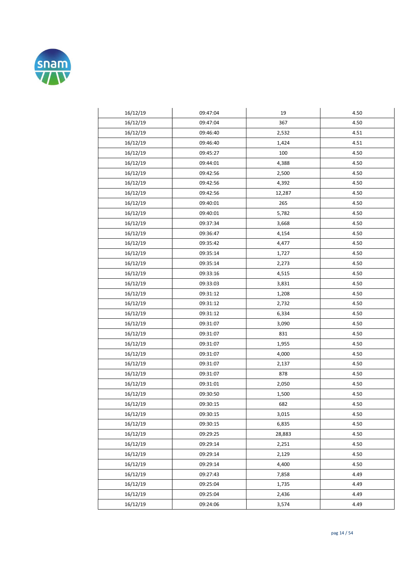

| 16/12/19 | 09:47:04 | 19     | 4.50 |
|----------|----------|--------|------|
| 16/12/19 | 09:47:04 | 367    | 4.50 |
| 16/12/19 | 09:46:40 | 2,532  | 4.51 |
| 16/12/19 | 09:46:40 | 1,424  | 4.51 |
| 16/12/19 | 09:45:27 | 100    | 4.50 |
| 16/12/19 | 09:44:01 | 4,388  | 4.50 |
| 16/12/19 | 09:42:56 | 2,500  | 4.50 |
| 16/12/19 | 09:42:56 | 4,392  | 4.50 |
| 16/12/19 | 09:42:56 | 12,287 | 4.50 |
| 16/12/19 | 09:40:01 | 265    | 4.50 |
| 16/12/19 | 09:40:01 | 5,782  | 4.50 |
| 16/12/19 | 09:37:34 | 3,668  | 4.50 |
| 16/12/19 | 09:36:47 | 4,154  | 4.50 |
| 16/12/19 | 09:35:42 | 4,477  | 4.50 |
| 16/12/19 | 09:35:14 | 1,727  | 4.50 |
| 16/12/19 | 09:35:14 | 2,273  | 4.50 |
| 16/12/19 | 09:33:16 | 4,515  | 4.50 |
| 16/12/19 | 09:33:03 | 3,831  | 4.50 |
| 16/12/19 | 09:31:12 | 1,208  | 4.50 |
| 16/12/19 | 09:31:12 | 2,732  | 4.50 |
| 16/12/19 | 09:31:12 | 6,334  | 4.50 |
| 16/12/19 | 09:31:07 | 3,090  | 4.50 |
| 16/12/19 | 09:31:07 | 831    | 4.50 |
| 16/12/19 | 09:31:07 | 1,955  | 4.50 |
| 16/12/19 | 09:31:07 | 4,000  | 4.50 |
| 16/12/19 | 09:31:07 | 2,137  | 4.50 |
| 16/12/19 | 09:31:07 | 878    | 4.50 |
| 16/12/19 | 09:31:01 | 2,050  | 4.50 |
| 16/12/19 | 09:30:50 | 1,500  | 4.50 |
| 16/12/19 | 09:30:15 | 682    | 4.50 |
| 16/12/19 | 09:30:15 | 3,015  | 4.50 |
| 16/12/19 | 09:30:15 | 6,835  | 4.50 |
| 16/12/19 | 09:29:25 | 28,883 | 4.50 |
| 16/12/19 | 09:29:14 | 2,251  | 4.50 |
| 16/12/19 | 09:29:14 | 2,129  | 4.50 |
| 16/12/19 | 09:29:14 | 4,400  | 4.50 |
| 16/12/19 | 09:27:43 | 7,858  | 4.49 |
| 16/12/19 | 09:25:04 | 1,735  | 4.49 |
| 16/12/19 | 09:25:04 | 2,436  | 4.49 |
| 16/12/19 | 09:24:06 | 3,574  | 4.49 |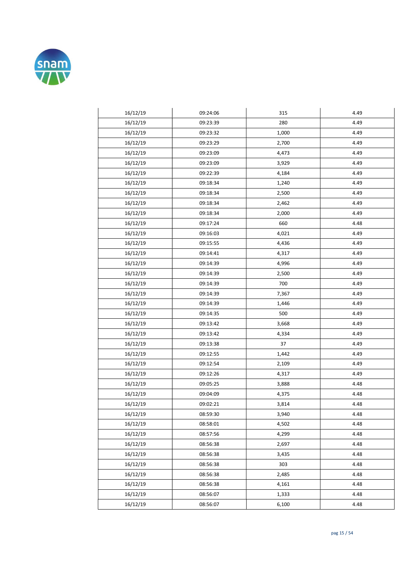

| 16/12/19 | 09:24:06 | 315   | 4.49 |
|----------|----------|-------|------|
| 16/12/19 | 09:23:39 | 280   | 4.49 |
| 16/12/19 | 09:23:32 | 1,000 | 4.49 |
| 16/12/19 | 09:23:29 | 2,700 | 4.49 |
| 16/12/19 | 09:23:09 | 4,473 | 4.49 |
| 16/12/19 | 09:23:09 | 3,929 | 4.49 |
| 16/12/19 | 09:22:39 | 4,184 | 4.49 |
| 16/12/19 | 09:18:34 | 1,240 | 4.49 |
| 16/12/19 | 09:18:34 | 2,500 | 4.49 |
| 16/12/19 | 09:18:34 | 2,462 | 4.49 |
| 16/12/19 | 09:18:34 | 2,000 | 4.49 |
| 16/12/19 | 09:17:24 | 660   | 4.48 |
| 16/12/19 | 09:16:03 | 4,021 | 4.49 |
| 16/12/19 | 09:15:55 | 4,436 | 4.49 |
| 16/12/19 | 09:14:41 | 4,317 | 4.49 |
| 16/12/19 | 09:14:39 | 4,996 | 4.49 |
| 16/12/19 | 09:14:39 | 2,500 | 4.49 |
| 16/12/19 | 09:14:39 | 700   | 4.49 |
| 16/12/19 | 09:14:39 | 7,367 | 4.49 |
| 16/12/19 | 09:14:39 | 1,446 | 4.49 |
| 16/12/19 | 09:14:35 | 500   | 4.49 |
| 16/12/19 | 09:13:42 | 3,668 | 4.49 |
| 16/12/19 | 09:13:42 | 4,334 | 4.49 |
| 16/12/19 | 09:13:38 | 37    | 4.49 |
| 16/12/19 | 09:12:55 | 1,442 | 4.49 |
| 16/12/19 | 09:12:54 | 2,109 | 4.49 |
| 16/12/19 | 09:12:26 | 4,317 | 4.49 |
| 16/12/19 | 09:05:25 | 3,888 | 4.48 |
| 16/12/19 | 09:04:09 | 4,375 | 4.48 |
| 16/12/19 | 09:02:21 | 3,814 | 4.48 |
| 16/12/19 | 08:59:30 | 3,940 | 4.48 |
| 16/12/19 | 08:58:01 | 4,502 | 4.48 |
| 16/12/19 | 08:57:56 | 4,299 | 4.48 |
| 16/12/19 | 08:56:38 | 2,697 | 4.48 |
| 16/12/19 | 08:56:38 | 3,435 | 4.48 |
| 16/12/19 | 08:56:38 | 303   | 4.48 |
| 16/12/19 | 08:56:38 | 2,485 | 4.48 |
| 16/12/19 | 08:56:38 | 4,161 | 4.48 |
| 16/12/19 | 08:56:07 | 1,333 | 4.48 |
| 16/12/19 | 08:56:07 | 6,100 | 4.48 |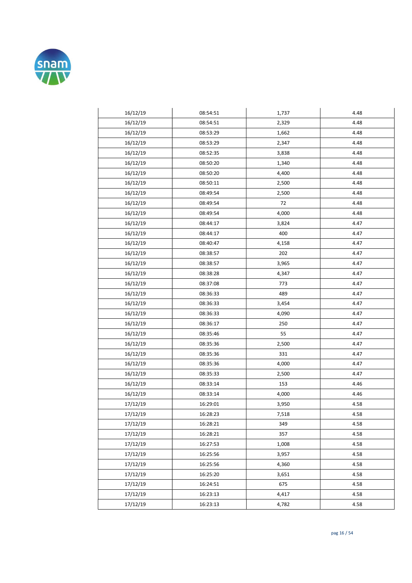

| 16/12/19 | 08:54:51 | 1,737 | 4.48 |
|----------|----------|-------|------|
| 16/12/19 | 08:54:51 | 2,329 | 4.48 |
| 16/12/19 | 08:53:29 | 1,662 | 4.48 |
| 16/12/19 | 08:53:29 | 2,347 | 4.48 |
| 16/12/19 | 08:52:35 | 3,838 | 4.48 |
| 16/12/19 | 08:50:20 | 1,340 | 4.48 |
| 16/12/19 | 08:50:20 | 4,400 | 4.48 |
| 16/12/19 | 08:50:11 | 2,500 | 4.48 |
| 16/12/19 | 08:49:54 | 2,500 | 4.48 |
| 16/12/19 | 08:49:54 | 72    | 4.48 |
| 16/12/19 | 08:49:54 | 4,000 | 4.48 |
| 16/12/19 | 08:44:17 | 3,824 | 4.47 |
| 16/12/19 | 08:44:17 | 400   | 4.47 |
| 16/12/19 | 08:40:47 | 4,158 | 4.47 |
| 16/12/19 | 08:38:57 | 202   | 4.47 |
| 16/12/19 | 08:38:57 | 3,965 | 4.47 |
| 16/12/19 | 08:38:28 | 4,347 | 4.47 |
| 16/12/19 | 08:37:08 | 773   | 4.47 |
| 16/12/19 | 08:36:33 | 489   | 4.47 |
| 16/12/19 | 08:36:33 | 3,454 | 4.47 |
| 16/12/19 | 08:36:33 | 4,090 | 4.47 |
| 16/12/19 | 08:36:17 | 250   | 4.47 |
| 16/12/19 | 08:35:46 | 55    | 4.47 |
| 16/12/19 | 08:35:36 | 2,500 | 4.47 |
| 16/12/19 | 08:35:36 | 331   | 4.47 |
| 16/12/19 | 08:35:36 | 4,000 | 4.47 |
| 16/12/19 | 08:35:33 | 2,500 | 4.47 |
| 16/12/19 | 08:33:14 | 153   | 4.46 |
| 16/12/19 | 08:33:14 | 4,000 | 4.46 |
| 17/12/19 | 16:29:01 | 3,950 | 4.58 |
| 17/12/19 | 16:28:23 | 7,518 | 4.58 |
| 17/12/19 | 16:28:21 | 349   | 4.58 |
| 17/12/19 | 16:28:21 | 357   | 4.58 |
| 17/12/19 | 16:27:53 | 1,008 | 4.58 |
| 17/12/19 | 16:25:56 | 3,957 | 4.58 |
| 17/12/19 | 16:25:56 | 4,360 | 4.58 |
| 17/12/19 | 16:25:20 | 3,651 | 4.58 |
| 17/12/19 | 16:24:51 | 675   | 4.58 |
| 17/12/19 | 16:23:13 | 4,417 | 4.58 |
| 17/12/19 | 16:23:13 | 4,782 | 4.58 |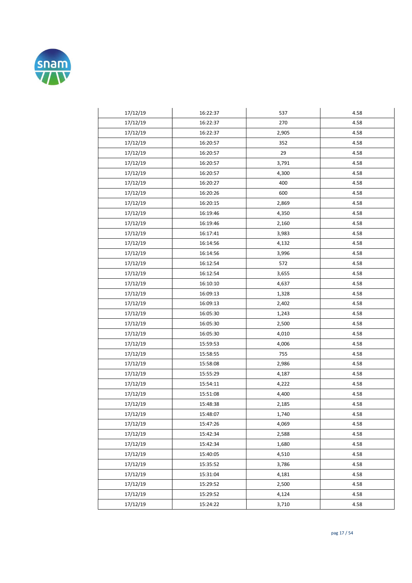

| 17/12/19 | 16:22:37 | 537   | 4.58 |
|----------|----------|-------|------|
| 17/12/19 | 16:22:37 | 270   | 4.58 |
| 17/12/19 | 16:22:37 | 2,905 | 4.58 |
| 17/12/19 | 16:20:57 | 352   | 4.58 |
| 17/12/19 | 16:20:57 | 29    | 4.58 |
| 17/12/19 | 16:20:57 | 3,791 | 4.58 |
| 17/12/19 | 16:20:57 | 4,300 | 4.58 |
| 17/12/19 | 16:20:27 | 400   | 4.58 |
| 17/12/19 | 16:20:26 | 600   | 4.58 |
| 17/12/19 | 16:20:15 | 2,869 | 4.58 |
| 17/12/19 | 16:19:46 | 4,350 | 4.58 |
| 17/12/19 | 16:19:46 | 2,160 | 4.58 |
| 17/12/19 | 16:17:41 | 3,983 | 4.58 |
| 17/12/19 | 16:14:56 | 4,132 | 4.58 |
| 17/12/19 | 16:14:56 | 3,996 | 4.58 |
| 17/12/19 | 16:12:54 | 572   | 4.58 |
| 17/12/19 | 16:12:54 | 3,655 | 4.58 |
| 17/12/19 | 16:10:10 | 4,637 | 4.58 |
| 17/12/19 | 16:09:13 | 1,328 | 4.58 |
| 17/12/19 | 16:09:13 | 2,402 | 4.58 |
| 17/12/19 | 16:05:30 | 1,243 | 4.58 |
| 17/12/19 | 16:05:30 | 2,500 | 4.58 |
| 17/12/19 | 16:05:30 | 4,010 | 4.58 |
| 17/12/19 | 15:59:53 | 4,006 | 4.58 |
| 17/12/19 | 15:58:55 | 755   | 4.58 |
| 17/12/19 | 15:58:08 | 2,986 | 4.58 |
| 17/12/19 | 15:55:29 | 4,187 | 4.58 |
| 17/12/19 | 15:54:11 | 4,222 | 4.58 |
| 17/12/19 | 15:51:08 | 4,400 | 4.58 |
| 17/12/19 | 15:48:38 | 2,185 | 4.58 |
| 17/12/19 | 15:48:07 | 1,740 | 4.58 |
| 17/12/19 | 15:47:26 | 4,069 | 4.58 |
| 17/12/19 | 15:42:34 | 2,588 | 4.58 |
| 17/12/19 | 15:42:34 | 1,680 | 4.58 |
| 17/12/19 | 15:40:05 | 4,510 | 4.58 |
| 17/12/19 | 15:35:52 | 3,786 | 4.58 |
| 17/12/19 | 15:31:04 | 4,181 | 4.58 |
| 17/12/19 | 15:29:52 | 2,500 | 4.58 |
| 17/12/19 | 15:29:52 | 4,124 | 4.58 |
| 17/12/19 | 15:24:22 | 3,710 | 4.58 |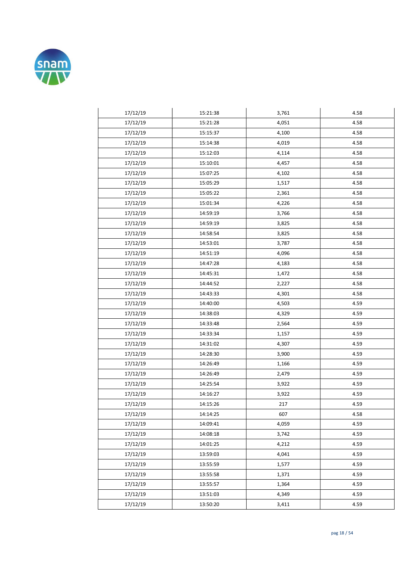

| 17/12/19 | 15:21:38 | 3,761 | 4.58 |
|----------|----------|-------|------|
| 17/12/19 | 15:21:28 | 4,051 | 4.58 |
| 17/12/19 | 15:15:37 | 4,100 | 4.58 |
| 17/12/19 | 15:14:38 | 4,019 | 4.58 |
| 17/12/19 | 15:12:03 | 4,114 | 4.58 |
| 17/12/19 | 15:10:01 | 4,457 | 4.58 |
| 17/12/19 | 15:07:25 | 4,102 | 4.58 |
| 17/12/19 | 15:05:29 | 1,517 | 4.58 |
| 17/12/19 | 15:05:22 | 2,361 | 4.58 |
| 17/12/19 | 15:01:34 | 4,226 | 4.58 |
| 17/12/19 | 14:59:19 | 3,766 | 4.58 |
| 17/12/19 | 14:59:19 | 3,825 | 4.58 |
| 17/12/19 | 14:58:54 | 3,825 | 4.58 |
| 17/12/19 | 14:53:01 | 3,787 | 4.58 |
| 17/12/19 | 14:51:19 | 4,096 | 4.58 |
| 17/12/19 | 14:47:28 | 4,183 | 4.58 |
| 17/12/19 | 14:45:31 | 1,472 | 4.58 |
| 17/12/19 | 14:44:52 | 2,227 | 4.58 |
| 17/12/19 | 14:43:33 | 4,301 | 4.58 |
| 17/12/19 | 14:40:00 | 4,503 | 4.59 |
| 17/12/19 | 14:38:03 | 4,329 | 4.59 |
| 17/12/19 | 14:33:48 | 2,564 | 4.59 |
| 17/12/19 | 14:33:34 | 1,157 | 4.59 |
| 17/12/19 | 14:31:02 | 4,307 | 4.59 |
| 17/12/19 | 14:28:30 | 3,900 | 4.59 |
| 17/12/19 | 14:26:49 | 1,166 | 4.59 |
| 17/12/19 | 14:26:49 | 2,479 | 4.59 |
| 17/12/19 | 14:25:54 | 3,922 | 4.59 |
| 17/12/19 | 14:16:27 | 3,922 | 4.59 |
| 17/12/19 | 14:15:26 | 217   | 4.59 |
| 17/12/19 | 14:14:25 | 607   | 4.58 |
| 17/12/19 | 14:09:41 | 4,059 | 4.59 |
| 17/12/19 | 14:08:18 | 3,742 | 4.59 |
| 17/12/19 | 14:01:25 | 4,212 | 4.59 |
| 17/12/19 | 13:59:03 | 4,041 | 4.59 |
| 17/12/19 | 13:55:59 | 1,577 | 4.59 |
| 17/12/19 | 13:55:58 | 1,371 | 4.59 |
| 17/12/19 | 13:55:57 | 1,364 | 4.59 |
| 17/12/19 | 13:51:03 | 4,349 | 4.59 |
| 17/12/19 | 13:50:20 | 3,411 | 4.59 |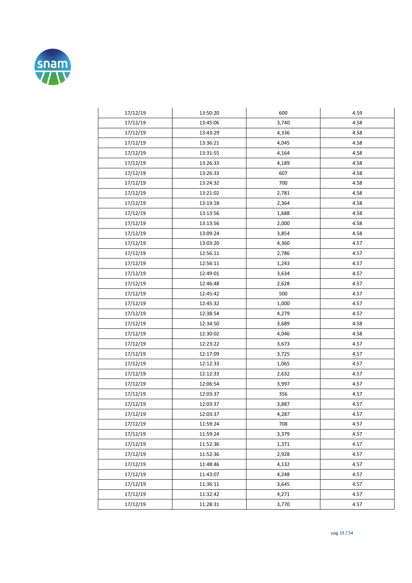

| 17/12/19 | 13:50:20 | 600   | 4.59 |
|----------|----------|-------|------|
| 17/12/19 | 13:45:06 | 3,740 | 4.58 |
| 17/12/19 | 13:43:29 | 4,336 | 4.58 |
| 17/12/19 | 13:36:21 | 4,045 | 4.58 |
| 17/12/19 | 13:31:55 | 4,164 | 4.58 |
| 17/12/19 | 13:26:33 | 4,189 | 4.58 |
| 17/12/19 | 13:26:33 | 607   | 4.58 |
| 17/12/19 | 13:24:32 | 700   | 4.58 |
| 17/12/19 | 13:21:02 | 2,781 | 4.58 |
| 17/12/19 | 13:19:18 | 2,364 | 4.58 |
| 17/12/19 | 13:13:56 | 1,688 | 4.58 |
| 17/12/19 | 13:13:56 | 2,000 | 4.58 |
| 17/12/19 | 13:09:24 | 3,854 | 4.58 |
| 17/12/19 | 13:03:20 | 4,360 | 4.57 |
| 17/12/19 | 12:56:11 | 2,786 | 4.57 |
| 17/12/19 | 12:56:11 | 1,243 | 4.57 |
| 17/12/19 | 12:49:01 | 3,634 | 4.57 |
| 17/12/19 | 12:46:48 | 2,628 | 4.57 |
| 17/12/19 | 12:45:42 | 500   | 4.57 |
| 17/12/19 | 12:45:32 | 1,000 | 4.57 |
| 17/12/19 | 12:38:54 | 4,279 | 4.57 |
| 17/12/19 | 12:34:50 | 3,689 | 4.58 |
| 17/12/19 | 12:30:02 | 4,046 | 4.58 |
| 17/12/19 | 12:23:22 | 3,673 | 4.57 |
| 17/12/19 | 12:17:09 | 3,725 | 4.57 |
| 17/12/19 | 12:12:33 | 1,065 | 4.57 |
| 17/12/19 | 12:12:33 | 2,632 | 4.57 |
| 17/12/19 | 12:06:54 | 3,997 | 4.57 |
| 17/12/19 | 12:03:37 | 356   | 4.57 |
| 17/12/19 | 12:03:37 | 3,887 | 4.57 |
| 17/12/19 | 12:03:37 | 4,287 | 4.57 |
| 17/12/19 | 11:59:24 | 708   | 4.57 |
| 17/12/19 | 11:59:24 | 3,379 | 4.57 |
| 17/12/19 | 11:52:36 | 1,371 | 4.57 |
| 17/12/19 | 11:52:36 | 2,928 | 4.57 |
| 17/12/19 | 11:48:46 | 4,132 | 4.57 |
| 17/12/19 | 11:43:07 | 4,248 | 4.57 |
| 17/12/19 | 11:36:11 | 3,645 | 4.57 |
| 17/12/19 | 11:32:42 | 4,271 | 4.57 |
| 17/12/19 | 11:28:31 | 3,770 | 4.57 |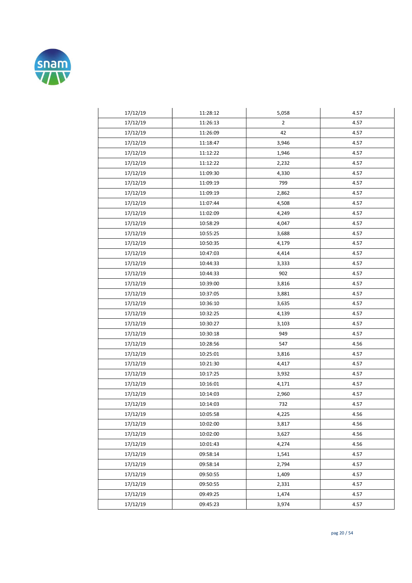

| 17/12/19 | 11:28:12 | 5,058          | 4.57 |
|----------|----------|----------------|------|
| 17/12/19 | 11:26:13 | $\overline{2}$ | 4.57 |
| 17/12/19 | 11:26:09 | 42             | 4.57 |
| 17/12/19 | 11:18:47 | 3,946          | 4.57 |
| 17/12/19 | 11:12:22 | 1,946          | 4.57 |
| 17/12/19 | 11:12:22 | 2,232          | 4.57 |
| 17/12/19 | 11:09:30 | 4,330          | 4.57 |
| 17/12/19 | 11:09:19 | 799            | 4.57 |
| 17/12/19 | 11:09:19 | 2,862          | 4.57 |
| 17/12/19 | 11:07:44 | 4,508          | 4.57 |
| 17/12/19 | 11:02:09 | 4,249          | 4.57 |
| 17/12/19 | 10:58:29 | 4,047          | 4.57 |
| 17/12/19 | 10:55:25 | 3,688          | 4.57 |
| 17/12/19 | 10:50:35 | 4,179          | 4.57 |
| 17/12/19 | 10:47:03 | 4,414          | 4.57 |
| 17/12/19 | 10:44:33 | 3,333          | 4.57 |
| 17/12/19 | 10:44:33 | 902            | 4.57 |
| 17/12/19 | 10:39:00 | 3,816          | 4.57 |
| 17/12/19 | 10:37:05 | 3,881          | 4.57 |
| 17/12/19 | 10:36:10 | 3,635          | 4.57 |
| 17/12/19 | 10:32:25 | 4,139          | 4.57 |
| 17/12/19 | 10:30:27 | 3,103          | 4.57 |
| 17/12/19 | 10:30:18 | 949            | 4.57 |
| 17/12/19 | 10:28:56 | 547            | 4.56 |
| 17/12/19 | 10:25:01 | 3,816          | 4.57 |
| 17/12/19 | 10:21:30 | 4,417          | 4.57 |
| 17/12/19 | 10:17:25 | 3,932          | 4.57 |
| 17/12/19 | 10:16:01 | 4,171          | 4.57 |
| 17/12/19 | 10:14:03 | 2,960          | 4.57 |
| 17/12/19 | 10:14:03 | 732            | 4.57 |
| 17/12/19 | 10:05:58 | 4,225          | 4.56 |
| 17/12/19 | 10:02:00 | 3,817          | 4.56 |
| 17/12/19 | 10:02:00 | 3,627          | 4.56 |
| 17/12/19 | 10:01:43 | 4,274          | 4.56 |
| 17/12/19 | 09:58:14 | 1,541          | 4.57 |
| 17/12/19 | 09:58:14 | 2,794          | 4.57 |
| 17/12/19 | 09:50:55 | 1,409          | 4.57 |
| 17/12/19 | 09:50:55 | 2,331          | 4.57 |
| 17/12/19 | 09:49:25 | 1,474          | 4.57 |
| 17/12/19 | 09:45:23 | 3,974          | 4.57 |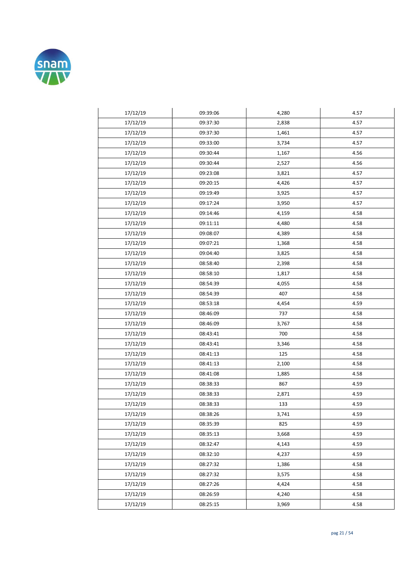

| 17/12/19 | 09:39:06 | 4,280 | 4.57 |
|----------|----------|-------|------|
| 17/12/19 | 09:37:30 | 2,838 | 4.57 |
| 17/12/19 | 09:37:30 | 1,461 | 4.57 |
| 17/12/19 | 09:33:00 | 3,734 | 4.57 |
| 17/12/19 | 09:30:44 | 1,167 | 4.56 |
| 17/12/19 | 09:30:44 | 2,527 | 4.56 |
| 17/12/19 | 09:23:08 | 3,821 | 4.57 |
| 17/12/19 | 09:20:15 | 4,426 | 4.57 |
| 17/12/19 | 09:19:49 | 3,925 | 4.57 |
| 17/12/19 | 09:17:24 | 3,950 | 4.57 |
| 17/12/19 | 09:14:46 | 4,159 | 4.58 |
| 17/12/19 | 09:11:11 | 4,480 | 4.58 |
| 17/12/19 | 09:08:07 | 4,389 | 4.58 |
| 17/12/19 | 09:07:21 | 1,368 | 4.58 |
| 17/12/19 | 09:04:40 | 3,825 | 4.58 |
| 17/12/19 | 08:58:40 | 2,398 | 4.58 |
| 17/12/19 | 08:58:10 | 1,817 | 4.58 |
| 17/12/19 | 08:54:39 | 4,055 | 4.58 |
| 17/12/19 | 08:54:39 | 407   | 4.58 |
| 17/12/19 | 08:53:18 | 4,454 | 4.59 |
| 17/12/19 | 08:46:09 | 737   | 4.58 |
| 17/12/19 | 08:46:09 | 3,767 | 4.58 |
| 17/12/19 | 08:43:41 | 700   | 4.58 |
| 17/12/19 | 08:43:41 | 3,346 | 4.58 |
| 17/12/19 | 08:41:13 | 125   | 4.58 |
| 17/12/19 | 08:41:13 | 2,100 | 4.58 |
| 17/12/19 | 08:41:08 | 1,885 | 4.58 |
| 17/12/19 | 08:38:33 | 867   | 4.59 |
| 17/12/19 | 08:38:33 | 2,871 | 4.59 |
| 17/12/19 | 08:38:33 | 133   | 4.59 |
| 17/12/19 | 08:38:26 | 3,741 | 4.59 |
| 17/12/19 | 08:35:39 | 825   | 4.59 |
| 17/12/19 | 08:35:13 | 3,668 | 4.59 |
| 17/12/19 | 08:32:47 | 4,143 | 4.59 |
| 17/12/19 | 08:32:10 | 4,237 | 4.59 |
| 17/12/19 | 08:27:32 | 1,386 | 4.58 |
| 17/12/19 | 08:27:32 | 3,575 | 4.58 |
| 17/12/19 | 08:27:26 | 4,424 | 4.58 |
| 17/12/19 | 08:26:59 | 4,240 | 4.58 |
| 17/12/19 | 08:25:15 | 3,969 | 4.58 |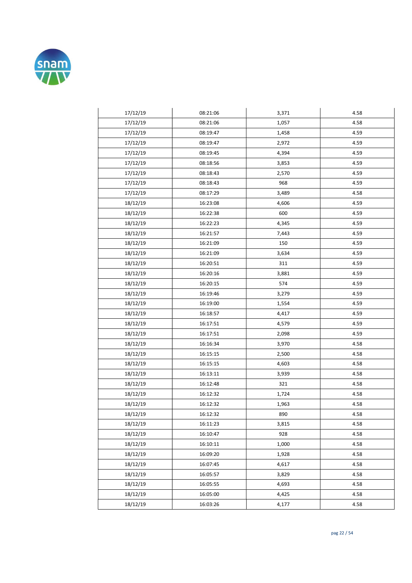

| 17/12/19 | 08:21:06 | 3,371 | 4.58 |
|----------|----------|-------|------|
| 17/12/19 | 08:21:06 | 1,057 | 4.58 |
| 17/12/19 | 08:19:47 | 1,458 | 4.59 |
| 17/12/19 | 08:19:47 | 2,972 | 4.59 |
| 17/12/19 | 08:19:45 | 4,394 | 4.59 |
| 17/12/19 | 08:18:56 | 3,853 | 4.59 |
| 17/12/19 | 08:18:43 | 2,570 | 4.59 |
| 17/12/19 | 08:18:43 | 968   | 4.59 |
| 17/12/19 | 08:17:29 | 3,489 | 4.58 |
| 18/12/19 | 16:23:08 | 4,606 | 4.59 |
| 18/12/19 | 16:22:38 | 600   | 4.59 |
| 18/12/19 | 16:22:23 | 4,345 | 4.59 |
| 18/12/19 | 16:21:57 | 7,443 | 4.59 |
| 18/12/19 | 16:21:09 | 150   | 4.59 |
| 18/12/19 | 16:21:09 | 3,634 | 4.59 |
| 18/12/19 | 16:20:51 | 311   | 4.59 |
| 18/12/19 | 16:20:16 | 3,881 | 4.59 |
| 18/12/19 | 16:20:15 | 574   | 4.59 |
| 18/12/19 | 16:19:46 | 3,279 | 4.59 |
| 18/12/19 | 16:19:00 | 1,554 | 4.59 |
| 18/12/19 | 16:18:57 | 4,417 | 4.59 |
| 18/12/19 | 16:17:51 | 4,579 | 4.59 |
| 18/12/19 | 16:17:51 | 2,098 | 4.59 |
| 18/12/19 | 16:16:34 | 3,970 | 4.58 |
| 18/12/19 | 16:15:15 | 2,500 | 4.58 |
| 18/12/19 | 16:15:15 | 4,603 | 4.58 |
| 18/12/19 | 16:13:11 | 3,939 | 4.58 |
| 18/12/19 | 16:12:48 | 321   | 4.58 |
| 18/12/19 | 16:12:32 | 1,724 | 4.58 |
| 18/12/19 | 16:12:32 | 1,963 | 4.58 |
| 18/12/19 | 16:12:32 | 890   | 4.58 |
| 18/12/19 | 16:11:23 | 3,815 | 4.58 |
| 18/12/19 | 16:10:47 | 928   | 4.58 |
| 18/12/19 | 16:10:11 | 1,000 | 4.58 |
| 18/12/19 | 16:09:20 | 1,928 | 4.58 |
| 18/12/19 | 16:07:45 | 4,617 | 4.58 |
| 18/12/19 | 16:05:57 | 3,829 | 4.58 |
| 18/12/19 | 16:05:55 | 4,693 | 4.58 |
| 18/12/19 | 16:05:00 | 4,425 | 4.58 |
| 18/12/19 | 16:03:26 | 4,177 | 4.58 |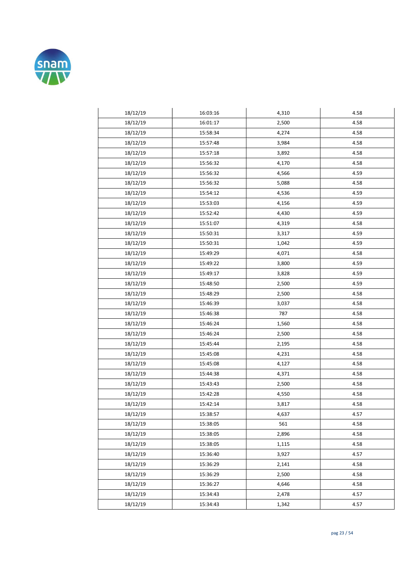

| 18/12/19 | 16:03:16 | 4,310 | 4.58 |
|----------|----------|-------|------|
| 18/12/19 | 16:01:17 | 2,500 | 4.58 |
| 18/12/19 | 15:58:34 | 4,274 | 4.58 |
| 18/12/19 | 15:57:48 | 3,984 | 4.58 |
| 18/12/19 | 15:57:18 | 3,892 | 4.58 |
| 18/12/19 | 15:56:32 | 4,170 | 4.58 |
| 18/12/19 | 15:56:32 | 4,566 | 4.59 |
| 18/12/19 | 15:56:32 | 5,088 | 4.58 |
| 18/12/19 | 15:54:12 | 4,536 | 4.59 |
| 18/12/19 | 15:53:03 | 4,156 | 4.59 |
| 18/12/19 | 15:52:42 | 4,430 | 4.59 |
| 18/12/19 | 15:51:07 | 4,319 | 4.58 |
| 18/12/19 | 15:50:31 | 3,317 | 4.59 |
| 18/12/19 | 15:50:31 | 1,042 | 4.59 |
| 18/12/19 | 15:49:29 | 4,071 | 4.58 |
| 18/12/19 | 15:49:22 | 3,800 | 4.59 |
| 18/12/19 | 15:49:17 | 3,828 | 4.59 |
| 18/12/19 | 15:48:50 | 2,500 | 4.59 |
| 18/12/19 | 15:48:29 | 2,500 | 4.58 |
| 18/12/19 | 15:46:39 | 3,037 | 4.58 |
| 18/12/19 | 15:46:38 | 787   | 4.58 |
| 18/12/19 | 15:46:24 | 1,560 | 4.58 |
| 18/12/19 | 15:46:24 | 2,500 | 4.58 |
| 18/12/19 | 15:45:44 | 2,195 | 4.58 |
| 18/12/19 | 15:45:08 | 4,231 | 4.58 |
| 18/12/19 | 15:45:08 | 4,127 | 4.58 |
| 18/12/19 | 15:44:38 | 4,371 | 4.58 |
| 18/12/19 | 15:43:43 | 2,500 | 4.58 |
| 18/12/19 | 15:42:28 | 4,550 | 4.58 |
| 18/12/19 | 15:42:14 | 3,817 | 4.58 |
| 18/12/19 | 15:38:57 | 4,637 | 4.57 |
| 18/12/19 | 15:38:05 | 561   | 4.58 |
| 18/12/19 | 15:38:05 | 2,896 | 4.58 |
| 18/12/19 | 15:38:05 | 1,115 | 4.58 |
| 18/12/19 | 15:36:40 | 3,927 | 4.57 |
| 18/12/19 | 15:36:29 | 2,141 | 4.58 |
| 18/12/19 | 15:36:29 | 2,500 | 4.58 |
| 18/12/19 | 15:36:27 | 4,646 | 4.58 |
| 18/12/19 | 15:34:43 | 2,478 | 4.57 |
| 18/12/19 | 15:34:43 | 1,342 | 4.57 |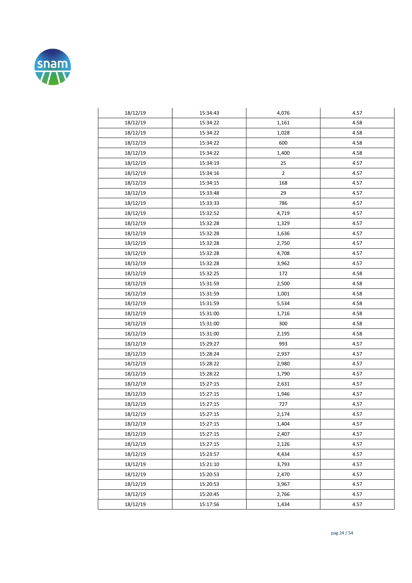

| 18/12/19 | 15:34:43 | 4,076          | 4.57 |
|----------|----------|----------------|------|
| 18/12/19 | 15:34:22 | 1,161          | 4.58 |
| 18/12/19 | 15:34:22 | 1,028          | 4.58 |
| 18/12/19 | 15:34:22 | 600            | 4.58 |
| 18/12/19 | 15:34:22 | 1,400          | 4.58 |
| 18/12/19 | 15:34:19 | 25             | 4.57 |
| 18/12/19 | 15:34:16 | $\overline{2}$ | 4.57 |
| 18/12/19 | 15:34:15 | 168            | 4.57 |
| 18/12/19 | 15:33:48 | 29             | 4.57 |
| 18/12/19 | 15:33:33 | 786            | 4.57 |
| 18/12/19 | 15:32:52 | 4,719          | 4.57 |
| 18/12/19 | 15:32:28 | 1,329          | 4.57 |
| 18/12/19 | 15:32:28 | 1,636          | 4.57 |
| 18/12/19 | 15:32:28 | 2,750          | 4.57 |
| 18/12/19 | 15:32:28 | 4,708          | 4.57 |
| 18/12/19 | 15:32:28 | 3,962          | 4.57 |
| 18/12/19 | 15:32:25 | 172            | 4.58 |
| 18/12/19 | 15:31:59 | 2,500          | 4.58 |
| 18/12/19 | 15:31:59 | 1,001          | 4.58 |
| 18/12/19 | 15:31:59 | 5,534          | 4.58 |
| 18/12/19 | 15:31:00 | 1,716          | 4.58 |
| 18/12/19 | 15:31:00 | 300            | 4.58 |
| 18/12/19 | 15:31:00 | 2,195          | 4.58 |
| 18/12/19 | 15:29:27 | 993            | 4.57 |
| 18/12/19 | 15:28:24 | 2,937          | 4.57 |
| 18/12/19 | 15:28:22 | 2,980          | 4.57 |
| 18/12/19 | 15:28:22 | 1,790          | 4.57 |
| 18/12/19 | 15:27:15 | 2,631          | 4.57 |
| 18/12/19 | 15:27:15 | 1,946          | 4.57 |
| 18/12/19 | 15:27:15 | 727            | 4.57 |
| 18/12/19 | 15:27:15 | 2,174          | 4.57 |
| 18/12/19 | 15:27:15 | 1,404          | 4.57 |
| 18/12/19 | 15:27:15 | 2,407          | 4.57 |
| 18/12/19 | 15:27:15 | 2,126          | 4.57 |
| 18/12/19 | 15:23:57 | 4,434          | 4.57 |
| 18/12/19 | 15:21:10 | 3,793          | 4.57 |
| 18/12/19 | 15:20:53 | 2,470          | 4.57 |
| 18/12/19 | 15:20:53 | 3,967          | 4.57 |
| 18/12/19 | 15:20:45 | 2,766          | 4.57 |
| 18/12/19 | 15:17:56 | 1,434          | 4.57 |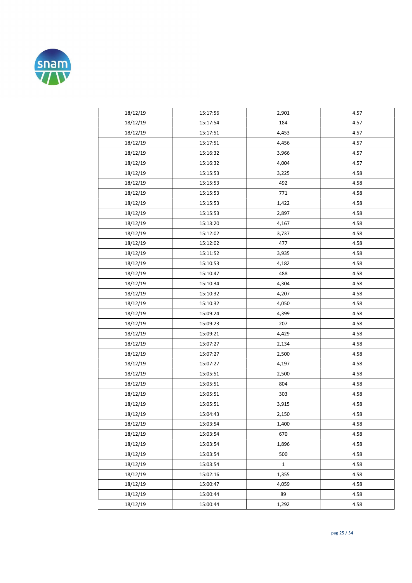

| 18/12/19 | 15:17:56 | 2,901        | 4.57 |
|----------|----------|--------------|------|
| 18/12/19 | 15:17:54 | 184          | 4.57 |
| 18/12/19 | 15:17:51 | 4,453        | 4.57 |
| 18/12/19 | 15:17:51 | 4,456        | 4.57 |
| 18/12/19 | 15:16:32 | 3,966        | 4.57 |
| 18/12/19 | 15:16:32 | 4,004        | 4.57 |
| 18/12/19 | 15:15:53 | 3,225        | 4.58 |
| 18/12/19 | 15:15:53 | 492          | 4.58 |
| 18/12/19 | 15:15:53 | 771          | 4.58 |
| 18/12/19 | 15:15:53 | 1,422        | 4.58 |
| 18/12/19 | 15:15:53 | 2,897        | 4.58 |
| 18/12/19 | 15:13:20 | 4,167        | 4.58 |
| 18/12/19 | 15:12:02 | 3,737        | 4.58 |
| 18/12/19 | 15:12:02 | 477          | 4.58 |
| 18/12/19 | 15:11:52 | 3,935        | 4.58 |
| 18/12/19 | 15:10:53 | 4,182        | 4.58 |
| 18/12/19 | 15:10:47 | 488          | 4.58 |
| 18/12/19 | 15:10:34 | 4,304        | 4.58 |
| 18/12/19 | 15:10:32 | 4,207        | 4.58 |
| 18/12/19 | 15:10:32 | 4,050        | 4.58 |
| 18/12/19 | 15:09:24 | 4,399        | 4.58 |
| 18/12/19 | 15:09:23 | 207          | 4.58 |
| 18/12/19 | 15:09:21 | 4,429        | 4.58 |
| 18/12/19 | 15:07:27 | 2,134        | 4.58 |
| 18/12/19 | 15:07:27 | 2,500        | 4.58 |
| 18/12/19 | 15:07:27 | 4,197        | 4.58 |
| 18/12/19 | 15:05:51 | 2,500        | 4.58 |
| 18/12/19 | 15:05:51 | 804          | 4.58 |
| 18/12/19 | 15:05:51 | 303          | 4.58 |
| 18/12/19 | 15:05:51 | 3,915        | 4.58 |
| 18/12/19 | 15:04:43 | 2,150        | 4.58 |
| 18/12/19 | 15:03:54 | 1,400        | 4.58 |
| 18/12/19 | 15:03:54 | 670          | 4.58 |
| 18/12/19 | 15:03:54 | 1,896        | 4.58 |
| 18/12/19 | 15:03:54 | 500          | 4.58 |
| 18/12/19 | 15:03:54 | $\mathbf{1}$ | 4.58 |
| 18/12/19 | 15:02:16 | 1,355        | 4.58 |
| 18/12/19 | 15:00:47 | 4,059        | 4.58 |
| 18/12/19 | 15:00:44 | 89           | 4.58 |
| 18/12/19 | 15:00:44 | 1,292        | 4.58 |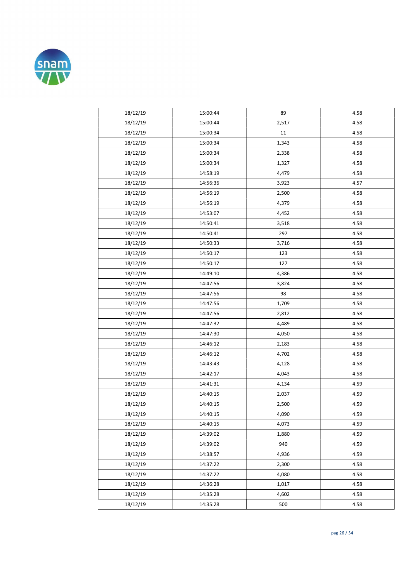

| 18/12/19 | 15:00:44 | 89    | 4.58 |
|----------|----------|-------|------|
| 18/12/19 | 15:00:44 | 2,517 | 4.58 |
| 18/12/19 | 15:00:34 | 11    | 4.58 |
| 18/12/19 | 15:00:34 | 1,343 | 4.58 |
| 18/12/19 | 15:00:34 | 2,338 | 4.58 |
| 18/12/19 | 15:00:34 | 1,327 | 4.58 |
| 18/12/19 | 14:58:19 | 4,479 | 4.58 |
| 18/12/19 | 14:56:36 | 3,923 | 4.57 |
| 18/12/19 | 14:56:19 | 2,500 | 4.58 |
| 18/12/19 | 14:56:19 | 4,379 | 4.58 |
| 18/12/19 | 14:53:07 | 4,452 | 4.58 |
| 18/12/19 | 14:50:41 | 3,518 | 4.58 |
| 18/12/19 | 14:50:41 | 297   | 4.58 |
| 18/12/19 | 14:50:33 | 3,716 | 4.58 |
| 18/12/19 | 14:50:17 | 123   | 4.58 |
| 18/12/19 | 14:50:17 | 127   | 4.58 |
| 18/12/19 | 14:49:10 | 4,386 | 4.58 |
| 18/12/19 | 14:47:56 | 3,824 | 4.58 |
| 18/12/19 | 14:47:56 | 98    | 4.58 |
| 18/12/19 | 14:47:56 | 1,709 | 4.58 |
| 18/12/19 | 14:47:56 | 2,812 | 4.58 |
| 18/12/19 | 14:47:32 | 4,489 | 4.58 |
| 18/12/19 | 14:47:30 | 4,050 | 4.58 |
| 18/12/19 | 14:46:12 | 2,183 | 4.58 |
| 18/12/19 | 14:46:12 | 4,702 | 4.58 |
| 18/12/19 | 14:43:43 | 4,128 | 4.58 |
| 18/12/19 | 14:42:17 | 4,043 | 4.58 |
| 18/12/19 | 14:41:31 | 4,134 | 4.59 |
| 18/12/19 | 14:40:15 | 2,037 | 4.59 |
| 18/12/19 | 14:40:15 | 2,500 | 4.59 |
| 18/12/19 | 14:40:15 | 4,090 | 4.59 |
| 18/12/19 | 14:40:15 | 4,073 | 4.59 |
| 18/12/19 | 14:39:02 | 1,880 | 4.59 |
| 18/12/19 | 14:39:02 | 940   | 4.59 |
| 18/12/19 | 14:38:57 | 4,936 | 4.59 |
| 18/12/19 | 14:37:22 | 2,300 | 4.58 |
| 18/12/19 | 14:37:22 | 4,080 | 4.58 |
| 18/12/19 | 14:36:28 | 1,017 | 4.58 |
| 18/12/19 | 14:35:28 | 4,602 | 4.58 |
| 18/12/19 | 14:35:28 | 500   | 4.58 |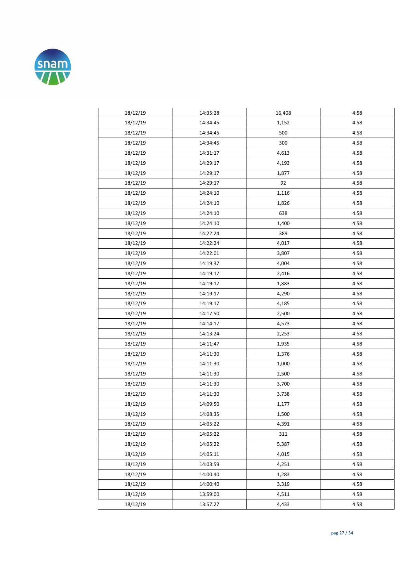

| 18/12/19 | 14:35:28 | 16,408 | 4.58 |
|----------|----------|--------|------|
| 18/12/19 | 14:34:45 | 1,152  | 4.58 |
| 18/12/19 | 14:34:45 | 500    | 4.58 |
| 18/12/19 | 14:34:45 | 300    | 4.58 |
| 18/12/19 | 14:31:17 | 4,613  | 4.58 |
| 18/12/19 | 14:29:17 | 4,193  | 4.58 |
| 18/12/19 | 14:29:17 | 1,877  | 4.58 |
| 18/12/19 | 14:29:17 | 92     | 4.58 |
| 18/12/19 | 14:24:10 | 1,116  | 4.58 |
| 18/12/19 | 14:24:10 | 1,826  | 4.58 |
| 18/12/19 | 14:24:10 | 638    | 4.58 |
| 18/12/19 | 14:24:10 | 1,400  | 4.58 |
| 18/12/19 | 14:22:24 | 389    | 4.58 |
| 18/12/19 | 14:22:24 | 4,017  | 4.58 |
| 18/12/19 | 14:22:01 | 3,807  | 4.58 |
| 18/12/19 | 14:19:37 | 4,004  | 4.58 |
| 18/12/19 | 14:19:17 | 2,416  | 4.58 |
| 18/12/19 | 14:19:17 | 1,883  | 4.58 |
| 18/12/19 | 14:19:17 | 4,290  | 4.58 |
| 18/12/19 | 14:19:17 | 4,185  | 4.58 |
| 18/12/19 | 14:17:50 | 2,500  | 4.58 |
| 18/12/19 | 14:14:17 | 4,573  | 4.58 |
| 18/12/19 | 14:13:24 | 2,253  | 4.58 |
| 18/12/19 | 14:11:47 | 1,935  | 4.58 |
| 18/12/19 | 14:11:30 | 1,376  | 4.58 |
| 18/12/19 | 14:11:30 | 1,000  | 4.58 |
| 18/12/19 | 14:11:30 | 2,500  | 4.58 |
| 18/12/19 | 14:11:30 | 3,700  | 4.58 |
| 18/12/19 | 14:11:30 | 3,738  | 4.58 |
| 18/12/19 | 14:09:50 | 1,177  | 4.58 |
| 18/12/19 | 14:08:35 | 1,500  | 4.58 |
| 18/12/19 | 14:05:22 | 4,391  | 4.58 |
| 18/12/19 | 14:05:22 | 311    | 4.58 |
| 18/12/19 | 14:05:22 | 5,387  | 4.58 |
| 18/12/19 | 14:05:11 | 4,015  | 4.58 |
| 18/12/19 | 14:03:59 | 4,251  | 4.58 |
| 18/12/19 | 14:00:40 | 1,283  | 4.58 |
| 18/12/19 | 14:00:40 | 3,319  | 4.58 |
| 18/12/19 | 13:59:00 | 4,511  | 4.58 |
| 18/12/19 | 13:57:27 | 4,433  | 4.58 |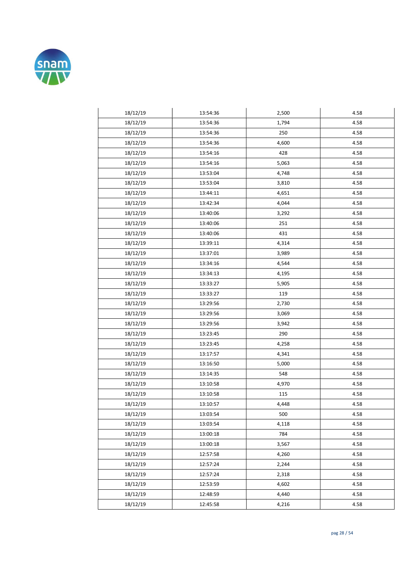

| 18/12/19 | 13:54:36 | 2,500 | 4.58 |
|----------|----------|-------|------|
| 18/12/19 | 13:54:36 | 1,794 | 4.58 |
| 18/12/19 | 13:54:36 | 250   | 4.58 |
| 18/12/19 | 13:54:36 | 4,600 | 4.58 |
| 18/12/19 | 13:54:16 | 428   | 4.58 |
| 18/12/19 | 13:54:16 | 5,063 | 4.58 |
| 18/12/19 | 13:53:04 | 4,748 | 4.58 |
| 18/12/19 | 13:53:04 | 3,810 | 4.58 |
| 18/12/19 | 13:44:11 | 4,651 | 4.58 |
| 18/12/19 | 13:42:34 | 4,044 | 4.58 |
| 18/12/19 | 13:40:06 | 3,292 | 4.58 |
| 18/12/19 | 13:40:06 | 251   | 4.58 |
| 18/12/19 | 13:40:06 | 431   | 4.58 |
| 18/12/19 | 13:39:11 | 4,314 | 4.58 |
| 18/12/19 | 13:37:01 | 3,989 | 4.58 |
| 18/12/19 | 13:34:16 | 4,544 | 4.58 |
| 18/12/19 | 13:34:13 | 4,195 | 4.58 |
| 18/12/19 | 13:33:27 | 5,905 | 4.58 |
| 18/12/19 | 13:33:27 | 119   | 4.58 |
| 18/12/19 | 13:29:56 | 2,730 | 4.58 |
| 18/12/19 | 13:29:56 | 3,069 | 4.58 |
| 18/12/19 | 13:29:56 | 3,942 | 4.58 |
| 18/12/19 | 13:23:45 | 290   | 4.58 |
| 18/12/19 | 13:23:45 | 4,258 | 4.58 |
| 18/12/19 | 13:17:57 | 4,341 | 4.58 |
| 18/12/19 | 13:16:50 | 5,000 | 4.58 |
| 18/12/19 | 13:14:35 | 548   | 4.58 |
| 18/12/19 | 13:10:58 | 4,970 | 4.58 |
| 18/12/19 | 13:10:58 | 115   | 4.58 |
| 18/12/19 | 13:10:57 | 4,448 | 4.58 |
| 18/12/19 | 13:03:54 | 500   | 4.58 |
| 18/12/19 | 13:03:54 | 4,118 | 4.58 |
| 18/12/19 | 13:00:18 | 784   | 4.58 |
| 18/12/19 | 13:00:18 | 3,567 | 4.58 |
| 18/12/19 | 12:57:58 | 4,260 | 4.58 |
| 18/12/19 | 12:57:24 | 2,244 | 4.58 |
| 18/12/19 | 12:57:24 | 2,318 | 4.58 |
| 18/12/19 | 12:53:59 | 4,602 | 4.58 |
| 18/12/19 | 12:48:59 | 4,440 | 4.58 |
| 18/12/19 | 12:45:58 | 4,216 | 4.58 |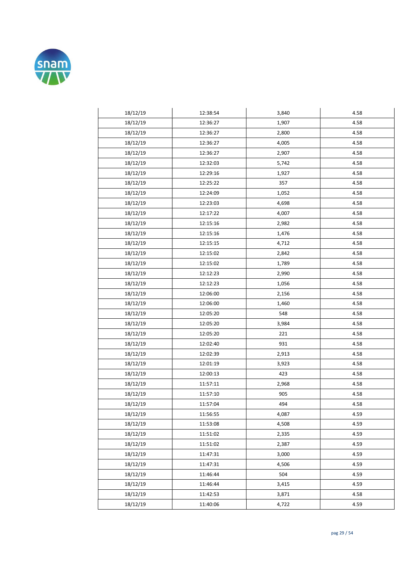

| 18/12/19 | 12:38:54 | 3,840 | 4.58 |
|----------|----------|-------|------|
| 18/12/19 | 12:36:27 | 1,907 | 4.58 |
| 18/12/19 | 12:36:27 | 2,800 | 4.58 |
| 18/12/19 | 12:36:27 | 4,005 | 4.58 |
| 18/12/19 | 12:36:27 | 2,907 | 4.58 |
| 18/12/19 | 12:32:03 | 5,742 | 4.58 |
| 18/12/19 | 12:29:16 | 1,927 | 4.58 |
| 18/12/19 | 12:25:22 | 357   | 4.58 |
| 18/12/19 | 12:24:09 | 1,052 | 4.58 |
| 18/12/19 | 12:23:03 | 4,698 | 4.58 |
| 18/12/19 | 12:17:22 | 4,007 | 4.58 |
| 18/12/19 | 12:15:16 | 2,982 | 4.58 |
| 18/12/19 | 12:15:16 | 1,476 | 4.58 |
| 18/12/19 | 12:15:15 | 4,712 | 4.58 |
| 18/12/19 | 12:15:02 | 2,842 | 4.58 |
| 18/12/19 | 12:15:02 | 1,789 | 4.58 |
| 18/12/19 | 12:12:23 | 2,990 | 4.58 |
| 18/12/19 | 12:12:23 | 1,056 | 4.58 |
| 18/12/19 | 12:06:00 | 2,156 | 4.58 |
| 18/12/19 | 12:06:00 | 1,460 | 4.58 |
| 18/12/19 | 12:05:20 | 548   | 4.58 |
| 18/12/19 | 12:05:20 | 3,984 | 4.58 |
| 18/12/19 | 12:05:20 | 221   | 4.58 |
| 18/12/19 | 12:02:40 | 931   | 4.58 |
| 18/12/19 | 12:02:39 | 2,913 | 4.58 |
| 18/12/19 | 12:01:19 | 3,923 | 4.58 |
| 18/12/19 | 12:00:13 | 423   | 4.58 |
| 18/12/19 | 11:57:11 | 2,968 | 4.58 |
| 18/12/19 | 11:57:10 | 905   | 4.58 |
| 18/12/19 | 11:57:04 | 494   | 4.58 |
| 18/12/19 | 11:56:55 | 4,087 | 4.59 |
| 18/12/19 | 11:53:08 | 4,508 | 4.59 |
| 18/12/19 | 11:51:02 | 2,335 | 4.59 |
| 18/12/19 | 11:51:02 | 2,387 | 4.59 |
| 18/12/19 | 11:47:31 | 3,000 | 4.59 |
| 18/12/19 | 11:47:31 | 4,506 | 4.59 |
| 18/12/19 | 11:46:44 | 504   | 4.59 |
| 18/12/19 | 11:46:44 | 3,415 | 4.59 |
| 18/12/19 | 11:42:53 | 3,871 | 4.58 |
| 18/12/19 | 11:40:06 | 4,722 | 4.59 |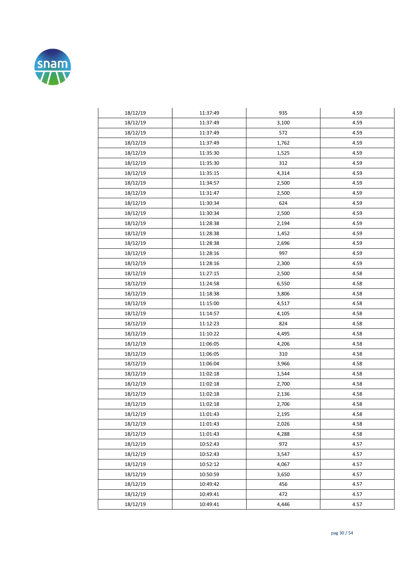

| 18/12/19 | 11:37:49 | 935   | 4.59 |
|----------|----------|-------|------|
| 18/12/19 | 11:37:49 | 3,100 | 4.59 |
| 18/12/19 | 11:37:49 | 572   | 4.59 |
| 18/12/19 | 11:37:49 | 1,762 | 4.59 |
| 18/12/19 | 11:35:30 | 1,525 | 4.59 |
| 18/12/19 | 11:35:30 | 312   | 4.59 |
| 18/12/19 | 11:35:15 | 4,314 | 4.59 |
| 18/12/19 | 11:34:57 | 2,500 | 4.59 |
| 18/12/19 | 11:31:47 | 2,500 | 4.59 |
| 18/12/19 | 11:30:34 | 624   | 4.59 |
| 18/12/19 | 11:30:34 | 2,500 | 4.59 |
| 18/12/19 | 11:28:38 | 2,194 | 4.59 |
| 18/12/19 | 11:28:38 | 1,452 | 4.59 |
| 18/12/19 | 11:28:38 | 2,696 | 4.59 |
| 18/12/19 | 11:28:16 | 997   | 4.59 |
| 18/12/19 | 11:28:16 | 2,300 | 4.59 |
| 18/12/19 | 11:27:15 | 2,500 | 4.58 |
| 18/12/19 | 11:24:58 | 6,550 | 4.58 |
| 18/12/19 | 11:18:38 | 3,806 | 4.58 |
| 18/12/19 | 11:15:00 | 4,517 | 4.58 |
| 18/12/19 | 11:14:57 | 4,105 | 4.58 |
| 18/12/19 | 11:12:23 | 824   | 4.58 |
| 18/12/19 | 11:10:22 | 4,495 | 4.58 |
| 18/12/19 | 11:06:05 | 4,206 | 4.58 |
| 18/12/19 | 11:06:05 | 310   | 4.58 |
| 18/12/19 | 11:06:04 | 3,966 | 4.58 |
| 18/12/19 | 11:02:18 | 1,544 | 4.58 |
| 18/12/19 | 11:02:18 | 2,700 | 4.58 |
| 18/12/19 | 11:02:18 | 2,136 | 4.58 |
| 18/12/19 | 11:02:18 | 2,706 | 4.58 |
| 18/12/19 | 11:01:43 | 2,195 | 4.58 |
| 18/12/19 | 11:01:43 | 2,026 | 4.58 |
| 18/12/19 | 11:01:43 | 4,288 | 4.58 |
| 18/12/19 | 10:52:43 | 972   | 4.57 |
| 18/12/19 | 10:52:43 | 3,547 | 4.57 |
| 18/12/19 | 10:52:12 | 4,067 | 4.57 |
| 18/12/19 | 10:50:59 | 3,650 | 4.57 |
| 18/12/19 | 10:49:42 | 456   | 4.57 |
| 18/12/19 | 10:49:41 | 472   | 4.57 |
| 18/12/19 | 10:49:41 | 4,446 | 4.57 |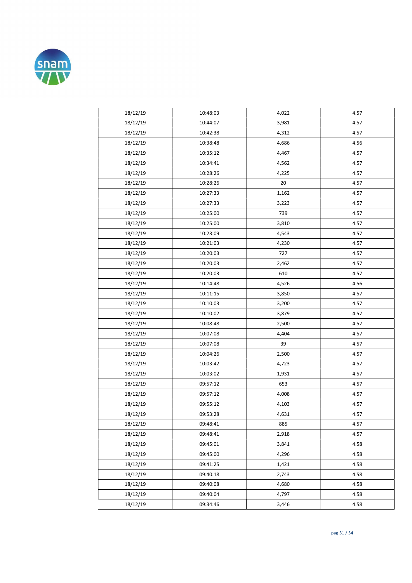

| 18/12/19 | 10:48:03 | 4,022 | 4.57 |
|----------|----------|-------|------|
| 18/12/19 | 10:44:07 | 3,981 | 4.57 |
| 18/12/19 | 10:42:38 | 4,312 | 4.57 |
| 18/12/19 | 10:38:48 | 4,686 | 4.56 |
| 18/12/19 | 10:35:12 | 4,467 | 4.57 |
| 18/12/19 | 10:34:41 | 4,562 | 4.57 |
| 18/12/19 | 10:28:26 | 4,225 | 4.57 |
| 18/12/19 | 10:28:26 | 20    | 4.57 |
| 18/12/19 | 10:27:33 | 1,162 | 4.57 |
| 18/12/19 | 10:27:33 | 3,223 | 4.57 |
| 18/12/19 | 10:25:00 | 739   | 4.57 |
| 18/12/19 | 10:25:00 | 3,810 | 4.57 |
| 18/12/19 | 10:23:09 | 4,543 | 4.57 |
| 18/12/19 | 10:21:03 | 4,230 | 4.57 |
| 18/12/19 | 10:20:03 | 727   | 4.57 |
| 18/12/19 | 10:20:03 | 2,462 | 4.57 |
| 18/12/19 | 10:20:03 | 610   | 4.57 |
| 18/12/19 | 10:14:48 | 4,526 | 4.56 |
| 18/12/19 | 10:11:15 | 3,850 | 4.57 |
| 18/12/19 | 10:10:03 | 3,200 | 4.57 |
| 18/12/19 | 10:10:02 | 3,879 | 4.57 |
| 18/12/19 | 10:08:48 | 2,500 | 4.57 |
| 18/12/19 | 10:07:08 | 4,404 | 4.57 |
| 18/12/19 | 10:07:08 | 39    | 4.57 |
| 18/12/19 | 10:04:26 | 2,500 | 4.57 |
| 18/12/19 | 10:03:42 | 4,723 | 4.57 |
| 18/12/19 | 10:03:02 | 1,931 | 4.57 |
| 18/12/19 | 09:57:12 | 653   | 4.57 |
| 18/12/19 | 09:57:12 | 4,008 | 4.57 |
| 18/12/19 | 09:55:12 | 4,103 | 4.57 |
| 18/12/19 | 09:53:28 | 4,631 | 4.57 |
| 18/12/19 | 09:48:41 | 885   | 4.57 |
| 18/12/19 | 09:48:41 | 2,918 | 4.57 |
| 18/12/19 | 09:45:01 | 3,841 | 4.58 |
| 18/12/19 | 09:45:00 | 4,296 | 4.58 |
| 18/12/19 | 09:41:25 | 1,421 | 4.58 |
| 18/12/19 | 09:40:18 | 2,743 | 4.58 |
| 18/12/19 | 09:40:08 | 4,680 | 4.58 |
| 18/12/19 | 09:40:04 | 4,797 | 4.58 |
| 18/12/19 | 09:34:46 | 3,446 | 4.58 |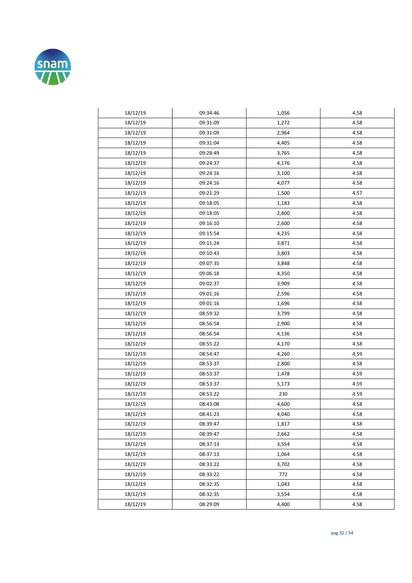

| 18/12/19 | 09:34:46 | 1,056 | 4.58 |
|----------|----------|-------|------|
| 18/12/19 | 09:31:09 | 1,272 | 4.58 |
| 18/12/19 | 09:31:09 | 2,964 | 4.58 |
| 18/12/19 | 09:31:04 | 4,405 | 4.58 |
| 18/12/19 | 09:28:49 | 3,765 | 4.58 |
| 18/12/19 | 09:24:37 | 4,176 | 4.58 |
| 18/12/19 | 09:24:16 | 3,100 | 4.58 |
| 18/12/19 | 09:24:16 | 4,077 | 4.58 |
| 18/12/19 | 09:21:29 | 1,500 | 4.57 |
| 18/12/19 | 09:18:05 | 1,183 | 4.58 |
| 18/12/19 | 09:18:05 | 2,800 | 4.58 |
| 18/12/19 | 09:16:10 | 2,600 | 4.58 |
| 18/12/19 | 09:15:54 | 4,235 | 4.58 |
| 18/12/19 | 09:11:24 | 3,871 | 4.58 |
| 18/12/19 | 09:10:43 | 3,803 | 4.58 |
| 18/12/19 | 09:07:35 | 3,848 | 4.58 |
| 18/12/19 | 09:06:18 | 4,350 | 4.58 |
| 18/12/19 | 09:02:37 | 3,909 | 4.58 |
| 18/12/19 | 09:01:16 | 2,596 | 4.58 |
| 18/12/19 | 09:01:16 | 1,696 | 4.58 |
| 18/12/19 | 08:59:32 | 3,799 | 4.58 |
| 18/12/19 | 08:56:54 | 2,900 | 4.58 |
| 18/12/19 | 08:56:54 | 4,136 | 4.58 |
| 18/12/19 | 08:55:22 | 4,170 | 4.58 |
| 18/12/19 | 08:54:47 | 4,260 | 4.59 |
| 18/12/19 | 08:53:37 | 2,800 | 4.58 |
| 18/12/19 | 08:53:37 | 1,478 | 4.59 |
| 18/12/19 | 08:53:37 | 5,173 | 4.59 |
| 18/12/19 | 08:53:22 | 230   | 4.59 |
| 18/12/19 | 08:43:08 | 4,600 | 4.58 |
| 18/12/19 | 08:41:23 | 4,040 | 4.58 |
| 18/12/19 | 08:39:47 | 1,817 | 4.58 |
| 18/12/19 | 08:39:47 | 2,662 | 4.58 |
| 18/12/19 | 08:37:13 | 3,554 | 4.58 |
| 18/12/19 | 08:37:13 | 1,064 | 4.58 |
| 18/12/19 | 08:33:22 | 3,702 | 4.58 |
| 18/12/19 | 08:33:22 | 772   | 4.58 |
| 18/12/19 | 08:32:35 | 1,043 | 4.58 |
| 18/12/19 | 08:32:35 | 3,554 | 4.58 |
| 18/12/19 | 08:29:09 | 4,400 | 4.58 |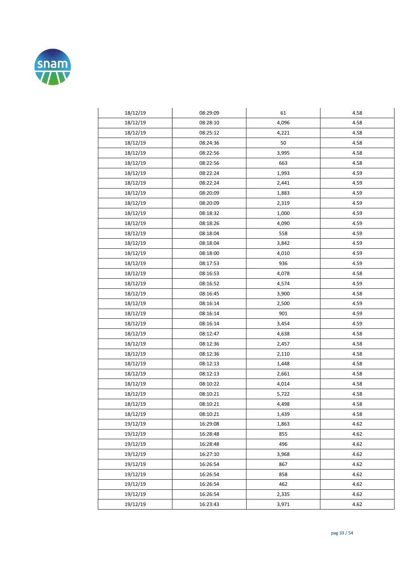

| 18/12/19 | 08:29:09 | 61    | 4.58 |
|----------|----------|-------|------|
| 18/12/19 | 08:28:10 | 4,096 | 4.58 |
| 18/12/19 | 08:25:12 | 4,221 | 4.58 |
| 18/12/19 | 08:24:36 | 50    | 4.58 |
| 18/12/19 | 08:22:56 | 3,995 | 4.58 |
| 18/12/19 | 08:22:56 | 663   | 4.58 |
| 18/12/19 | 08:22:24 | 1,993 | 4.59 |
| 18/12/19 | 08:22:24 | 2,441 | 4.59 |
| 18/12/19 | 08:20:09 | 1,883 | 4.59 |
| 18/12/19 | 08:20:09 | 2,319 | 4.59 |
| 18/12/19 | 08:18:32 | 1,000 | 4.59 |
| 18/12/19 | 08:18:26 | 4,090 | 4.59 |
| 18/12/19 | 08:18:04 | 558   | 4.59 |
| 18/12/19 | 08:18:04 | 3,842 | 4.59 |
| 18/12/19 | 08:18:00 | 4,010 | 4.59 |
| 18/12/19 | 08:17:53 | 936   | 4.59 |
| 18/12/19 | 08:16:53 | 4,078 | 4.58 |
| 18/12/19 | 08:16:52 | 4,574 | 4.59 |
|          |          |       | 4.58 |
| 18/12/19 | 08:16:45 | 3,900 |      |
| 18/12/19 | 08:16:14 | 2,500 | 4.59 |
| 18/12/19 | 08:16:14 | 901   | 4.59 |
| 18/12/19 | 08:16:14 | 3,454 | 4.59 |
| 18/12/19 | 08:12:47 | 4,638 | 4.58 |
| 18/12/19 | 08:12:36 | 2,457 | 4.58 |
| 18/12/19 | 08:12:36 | 2,110 | 4.58 |
| 18/12/19 | 08:12:13 | 1,448 | 4.58 |
| 18/12/19 | 08:12:13 | 2,661 | 4.58 |
| 18/12/19 | 08:10:22 | 4,014 | 4.58 |
| 18/12/19 | 08:10:21 | 5,722 | 4.58 |
| 18/12/19 | 08:10:21 | 4,498 | 4.58 |
| 18/12/19 | 08:10:21 | 1,439 | 4.58 |
| 19/12/19 | 16:29:08 | 1,863 | 4.62 |
| 19/12/19 | 16:28:48 | 855   | 4.62 |
| 19/12/19 | 16:28:48 | 496   | 4.62 |
| 19/12/19 | 16:27:10 | 3,968 | 4.62 |
| 19/12/19 | 16:26:54 | 867   | 4.62 |
| 19/12/19 | 16:26:54 | 858   | 4.62 |
| 19/12/19 | 16:26:54 | 462   | 4.62 |
| 19/12/19 | 16:26:54 | 2,335 | 4.62 |
| 19/12/19 | 16:23:43 | 3,971 | 4.62 |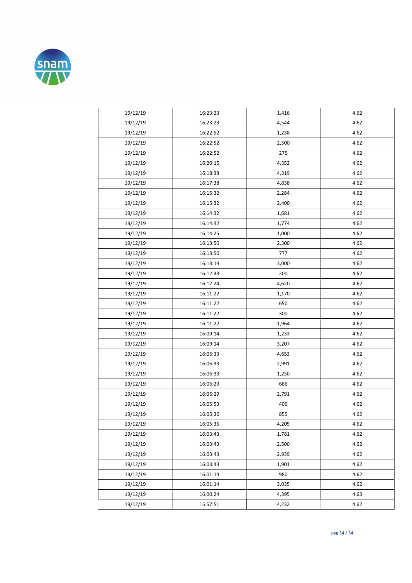

| 19/12/19 | 16:23:23 | 1,416 | 4.62 |
|----------|----------|-------|------|
| 19/12/19 | 16:23:23 | 4,544 | 4.62 |
| 19/12/19 | 16:22:52 | 1,238 | 4.62 |
| 19/12/19 | 16:22:52 | 2,500 | 4.62 |
| 19/12/19 | 16:22:52 | 275   | 4.62 |
| 19/12/19 | 16:20:15 | 4,352 | 4.62 |
| 19/12/19 | 16:18:38 | 4,319 | 4.62 |
| 19/12/19 | 16:17:38 | 4,838 | 4.62 |
| 19/12/19 | 16:15:32 | 2,284 | 4.62 |
| 19/12/19 | 16:15:32 | 2,400 | 4.62 |
| 19/12/19 | 16:14:32 | 1,681 | 4.62 |
| 19/12/19 | 16:14:32 | 1,774 | 4.62 |
| 19/12/19 | 16:14:25 | 1,000 | 4.62 |
| 19/12/19 | 16:13:50 | 2,300 | 4.62 |
| 19/12/19 | 16:13:50 | 777   | 4.62 |
| 19/12/19 | 16:13:19 | 3,000 | 4.62 |
| 19/12/19 | 16:12:43 | 200   | 4.62 |
| 19/12/19 | 16:12:24 | 4,620 | 4.62 |
| 19/12/19 | 16:11:22 | 1,170 | 4.62 |
| 19/12/19 | 16:11:22 | 650   | 4.62 |
| 19/12/19 | 16:11:22 | 300   | 4.62 |
| 19/12/19 | 16:11:22 | 1,964 | 4.62 |
| 19/12/19 | 16:09:14 | 1,233 | 4.62 |
| 19/12/19 | 16:09:14 | 3,207 | 4.62 |
| 19/12/19 | 16:06:33 | 4,653 | 4.62 |
| 19/12/19 | 16:06:33 | 2,991 | 4.62 |
| 19/12/19 | 16:06:33 | 1,250 | 4.62 |
| 19/12/19 | 16:06:29 | 666   | 4.62 |
| 19/12/19 | 16:06:29 | 2,791 | 4.62 |
| 19/12/19 | 16:05:53 | 400   | 4.62 |
| 19/12/19 | 16:05:36 | 855   | 4.62 |
| 19/12/19 | 16:05:35 | 4,205 | 4.62 |
| 19/12/19 | 16:03:43 | 1,781 | 4.62 |
| 19/12/19 | 16:03:43 | 2,500 | 4.62 |
| 19/12/19 | 16:03:43 | 2,939 | 4.62 |
| 19/12/19 | 16:03:43 | 1,901 | 4.62 |
| 19/12/19 | 16:01:14 | 980   | 4.62 |
| 19/12/19 | 16:01:14 | 3,035 | 4.62 |
| 19/12/19 | 16:00:24 | 4,395 | 4.63 |
| 19/12/19 | 15:57:51 | 4,232 | 4.62 |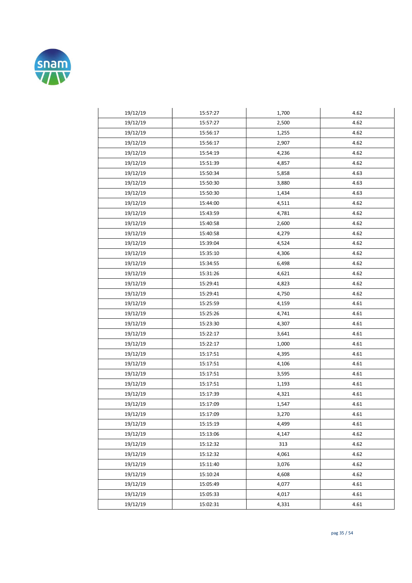

| 19/12/19 | 15:57:27 | 1,700 | 4.62 |
|----------|----------|-------|------|
| 19/12/19 | 15:57:27 | 2,500 | 4.62 |
| 19/12/19 | 15:56:17 | 1,255 | 4.62 |
| 19/12/19 | 15:56:17 | 2,907 | 4.62 |
| 19/12/19 | 15:54:19 | 4,236 | 4.62 |
| 19/12/19 | 15:51:39 | 4,857 | 4.62 |
| 19/12/19 | 15:50:34 | 5,858 | 4.63 |
| 19/12/19 | 15:50:30 | 3,880 | 4.63 |
| 19/12/19 | 15:50:30 | 1,434 | 4.63 |
| 19/12/19 | 15:44:00 | 4,511 | 4.62 |
| 19/12/19 | 15:43:59 | 4,781 | 4.62 |
| 19/12/19 | 15:40:58 | 2,600 | 4.62 |
| 19/12/19 | 15:40:58 | 4,279 | 4.62 |
| 19/12/19 | 15:39:04 | 4,524 | 4.62 |
| 19/12/19 | 15:35:10 | 4,306 | 4.62 |
| 19/12/19 | 15:34:55 | 6,498 | 4.62 |
| 19/12/19 | 15:31:26 | 4,621 | 4.62 |
| 19/12/19 | 15:29:41 | 4,823 | 4.62 |
| 19/12/19 | 15:29:41 | 4,750 | 4.62 |
| 19/12/19 | 15:25:59 | 4,159 | 4.61 |
| 19/12/19 | 15:25:26 | 4,741 | 4.61 |
| 19/12/19 | 15:23:30 | 4,307 | 4.61 |
| 19/12/19 | 15:22:17 | 3,641 | 4.61 |
| 19/12/19 | 15:22:17 | 1,000 | 4.61 |
| 19/12/19 | 15:17:51 | 4,395 | 4.61 |
| 19/12/19 | 15:17:51 | 4,106 | 4.61 |
| 19/12/19 | 15:17:51 | 3,595 | 4.61 |
| 19/12/19 | 15:17:51 | 1,193 | 4.61 |
| 19/12/19 | 15:17:39 | 4,321 | 4.61 |
| 19/12/19 | 15:17:09 | 1,547 | 4.61 |
| 19/12/19 | 15:17:09 | 3,270 | 4.61 |
| 19/12/19 | 15:15:19 | 4,499 | 4.61 |
| 19/12/19 | 15:13:06 | 4,147 | 4.62 |
| 19/12/19 | 15:12:32 | 313   | 4.62 |
| 19/12/19 | 15:12:32 | 4,061 | 4.62 |
| 19/12/19 | 15:11:40 | 3,076 | 4.62 |
| 19/12/19 | 15:10:24 | 4,608 | 4.62 |
| 19/12/19 | 15:05:49 | 4,077 | 4.61 |
| 19/12/19 | 15:05:33 | 4,017 | 4.61 |
| 19/12/19 | 15:02:31 | 4,331 | 4.61 |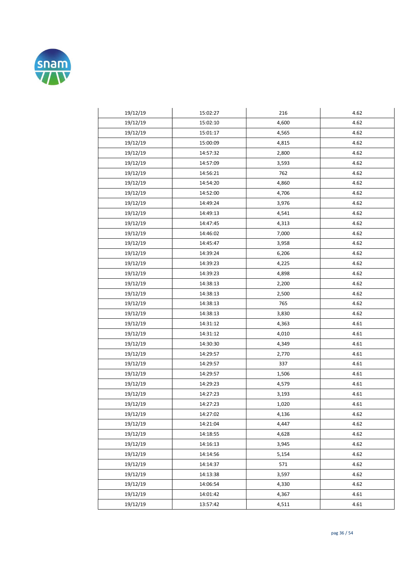

| 19/12/19 | 15:02:27 | 216   | 4.62 |
|----------|----------|-------|------|
| 19/12/19 | 15:02:10 | 4,600 | 4.62 |
| 19/12/19 | 15:01:17 | 4,565 | 4.62 |
| 19/12/19 | 15:00:09 | 4,815 | 4.62 |
| 19/12/19 | 14:57:32 | 2,800 | 4.62 |
| 19/12/19 | 14:57:09 | 3,593 | 4.62 |
| 19/12/19 | 14:56:21 | 762   | 4.62 |
| 19/12/19 | 14:54:20 | 4,860 | 4.62 |
| 19/12/19 | 14:52:00 | 4,706 | 4.62 |
| 19/12/19 | 14:49:24 | 3,976 | 4.62 |
| 19/12/19 | 14:49:13 | 4,541 | 4.62 |
| 19/12/19 | 14:47:45 | 4,313 | 4.62 |
| 19/12/19 | 14:46:02 | 7,000 | 4.62 |
| 19/12/19 | 14:45:47 | 3,958 | 4.62 |
| 19/12/19 | 14:39:24 | 6,206 | 4.62 |
| 19/12/19 | 14:39:23 | 4,225 | 4.62 |
| 19/12/19 | 14:39:23 | 4,898 | 4.62 |
| 19/12/19 | 14:38:13 | 2,200 | 4.62 |
| 19/12/19 | 14:38:13 | 2,500 | 4.62 |
| 19/12/19 | 14:38:13 | 765   | 4.62 |
| 19/12/19 | 14:38:13 | 3,830 | 4.62 |
| 19/12/19 | 14:31:12 | 4,363 | 4.61 |
| 19/12/19 | 14:31:12 | 4,010 | 4.61 |
| 19/12/19 | 14:30:30 | 4,349 | 4.61 |
| 19/12/19 | 14:29:57 | 2,770 | 4.61 |
| 19/12/19 | 14:29:57 | 337   | 4.61 |
| 19/12/19 | 14:29:57 | 1,506 | 4.61 |
| 19/12/19 | 14:29:23 | 4,579 | 4.61 |
| 19/12/19 | 14:27:23 | 3,193 | 4.61 |
| 19/12/19 | 14:27:23 | 1,020 | 4.61 |
| 19/12/19 | 14:27:02 | 4,136 | 4.62 |
| 19/12/19 | 14:21:04 | 4,447 | 4.62 |
| 19/12/19 | 14:18:55 | 4,628 | 4.62 |
| 19/12/19 | 14:16:13 | 3,945 | 4.62 |
| 19/12/19 | 14:14:56 | 5,154 | 4.62 |
| 19/12/19 | 14:14:37 | 571   | 4.62 |
| 19/12/19 | 14:13:38 | 3,597 | 4.62 |
| 19/12/19 | 14:06:54 | 4,330 | 4.62 |
| 19/12/19 | 14:01:42 | 4,367 | 4.61 |
| 19/12/19 | 13:57:42 | 4,511 | 4.61 |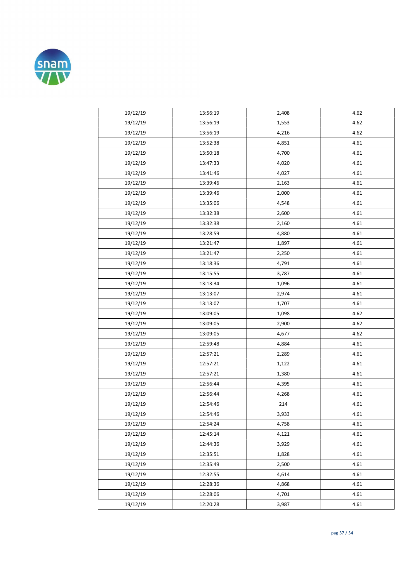

| 19/12/19 | 13:56:19 | 2,408 | 4.62 |
|----------|----------|-------|------|
| 19/12/19 | 13:56:19 | 1,553 | 4.62 |
| 19/12/19 | 13:56:19 | 4,216 | 4.62 |
| 19/12/19 | 13:52:38 | 4,851 | 4.61 |
| 19/12/19 | 13:50:18 | 4,700 | 4.61 |
| 19/12/19 | 13:47:33 | 4,020 | 4.61 |
| 19/12/19 | 13:41:46 | 4,027 | 4.61 |
| 19/12/19 | 13:39:46 | 2,163 | 4.61 |
| 19/12/19 | 13:39:46 | 2,000 | 4.61 |
| 19/12/19 | 13:35:06 | 4,548 | 4.61 |
| 19/12/19 | 13:32:38 | 2,600 | 4.61 |
| 19/12/19 | 13:32:38 | 2,160 | 4.61 |
| 19/12/19 | 13:28:59 | 4,880 | 4.61 |
| 19/12/19 | 13:21:47 | 1,897 | 4.61 |
| 19/12/19 | 13:21:47 | 2,250 | 4.61 |
| 19/12/19 | 13:18:36 | 4,791 | 4.61 |
| 19/12/19 | 13:15:55 | 3,787 | 4.61 |
| 19/12/19 | 13:13:34 | 1,096 | 4.61 |
| 19/12/19 | 13:13:07 | 2,974 | 4.61 |
| 19/12/19 | 13:13:07 | 1,707 | 4.61 |
| 19/12/19 | 13:09:05 | 1,098 | 4.62 |
| 19/12/19 | 13:09:05 | 2,900 | 4.62 |
| 19/12/19 | 13:09:05 | 4,677 | 4.62 |
| 19/12/19 | 12:59:48 | 4,884 | 4.61 |
| 19/12/19 | 12:57:21 | 2,289 | 4.61 |
| 19/12/19 | 12:57:21 | 1,122 | 4.61 |
| 19/12/19 | 12:57:21 | 1,380 | 4.61 |
| 19/12/19 | 12:56:44 | 4,395 | 4.61 |
| 19/12/19 | 12:56:44 | 4,268 | 4.61 |
| 19/12/19 | 12:54:46 | 214   | 4.61 |
| 19/12/19 | 12:54:46 | 3,933 | 4.61 |
| 19/12/19 | 12:54:24 | 4,758 | 4.61 |
| 19/12/19 | 12:45:14 | 4,121 | 4.61 |
| 19/12/19 | 12:44:36 | 3,929 | 4.61 |
| 19/12/19 | 12:35:51 | 1,828 | 4.61 |
| 19/12/19 | 12:35:49 | 2,500 | 4.61 |
| 19/12/19 | 12:32:55 | 4,614 | 4.61 |
| 19/12/19 | 12:28:36 | 4,868 | 4.61 |
| 19/12/19 | 12:28:06 | 4,701 | 4.61 |
| 19/12/19 | 12:20:28 | 3,987 | 4.61 |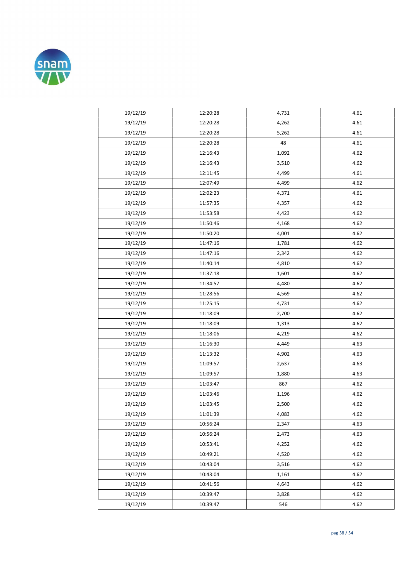

| 19/12/19 | 12:20:28 | 4,731 | 4.61 |
|----------|----------|-------|------|
| 19/12/19 | 12:20:28 | 4,262 | 4.61 |
| 19/12/19 | 12:20:28 | 5,262 | 4.61 |
| 19/12/19 | 12:20:28 | 48    | 4.61 |
| 19/12/19 | 12:16:43 | 1,092 | 4.62 |
| 19/12/19 | 12:16:43 | 3,510 | 4.62 |
| 19/12/19 | 12:11:45 | 4,499 | 4.61 |
| 19/12/19 | 12:07:49 | 4,499 | 4.62 |
| 19/12/19 | 12:02:23 | 4,371 | 4.61 |
| 19/12/19 | 11:57:35 | 4,357 | 4.62 |
| 19/12/19 | 11:53:58 | 4,423 | 4.62 |
| 19/12/19 | 11:50:46 | 4,168 | 4.62 |
| 19/12/19 | 11:50:20 | 4,001 | 4.62 |
| 19/12/19 | 11:47:16 | 1,781 | 4.62 |
| 19/12/19 | 11:47:16 | 2,342 | 4.62 |
| 19/12/19 | 11:40:14 | 4,810 | 4.62 |
| 19/12/19 | 11:37:18 | 1,601 | 4.62 |
| 19/12/19 | 11:34:57 | 4,480 | 4.62 |
| 19/12/19 | 11:28:56 | 4,569 | 4.62 |
| 19/12/19 | 11:25:15 | 4,731 | 4.62 |
| 19/12/19 | 11:18:09 | 2,700 | 4.62 |
| 19/12/19 | 11:18:09 | 1,313 | 4.62 |
| 19/12/19 | 11:18:06 | 4,219 | 4.62 |
| 19/12/19 | 11:16:30 | 4,449 | 4.63 |
| 19/12/19 | 11:13:32 | 4,902 | 4.63 |
| 19/12/19 | 11:09:57 | 2,637 | 4.63 |
| 19/12/19 | 11:09:57 | 1,880 | 4.63 |
| 19/12/19 | 11:03:47 | 867   | 4.62 |
| 19/12/19 | 11:03:46 | 1,196 | 4.62 |
| 19/12/19 | 11:03:45 | 2,500 | 4.62 |
| 19/12/19 | 11:01:39 | 4,083 | 4.62 |
| 19/12/19 | 10:56:24 | 2,347 | 4.63 |
| 19/12/19 | 10:56:24 | 2,473 | 4.63 |
| 19/12/19 | 10:53:41 | 4,252 | 4.62 |
| 19/12/19 | 10:49:21 | 4,520 | 4.62 |
| 19/12/19 | 10:43:04 | 3,516 | 4.62 |
| 19/12/19 | 10:43:04 | 1,161 | 4.62 |
| 19/12/19 | 10:41:56 | 4,643 | 4.62 |
| 19/12/19 | 10:39:47 | 3,828 | 4.62 |
| 19/12/19 | 10:39:47 | 546   | 4.62 |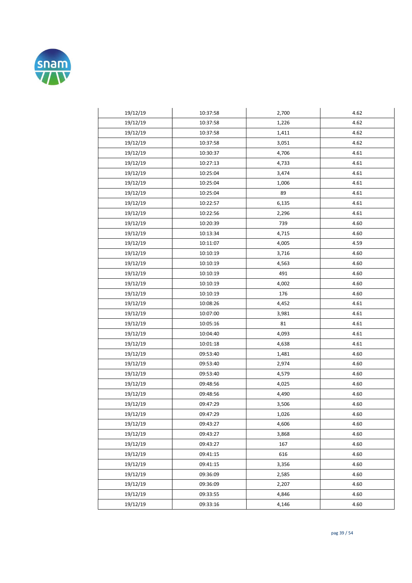

| 19/12/19 | 10:37:58 | 2,700 | 4.62 |
|----------|----------|-------|------|
| 19/12/19 | 10:37:58 | 1,226 | 4.62 |
| 19/12/19 | 10:37:58 | 1,411 | 4.62 |
| 19/12/19 | 10:37:58 | 3,051 | 4.62 |
| 19/12/19 | 10:30:37 | 4,706 | 4.61 |
| 19/12/19 | 10:27:13 | 4,733 | 4.61 |
| 19/12/19 | 10:25:04 | 3,474 | 4.61 |
| 19/12/19 | 10:25:04 | 1,006 | 4.61 |
| 19/12/19 | 10:25:04 | 89    | 4.61 |
| 19/12/19 | 10:22:57 | 6,135 | 4.61 |
| 19/12/19 | 10:22:56 | 2,296 | 4.61 |
| 19/12/19 | 10:20:39 | 739   | 4.60 |
| 19/12/19 | 10:13:34 | 4,715 | 4.60 |
| 19/12/19 | 10:11:07 | 4,005 | 4.59 |
| 19/12/19 | 10:10:19 | 3,716 | 4.60 |
| 19/12/19 | 10:10:19 | 4,563 | 4.60 |
| 19/12/19 | 10:10:19 | 491   | 4.60 |
| 19/12/19 | 10:10:19 | 4,002 | 4.60 |
| 19/12/19 | 10:10:19 | 176   | 4.60 |
| 19/12/19 | 10:08:26 | 4,452 | 4.61 |
| 19/12/19 | 10:07:00 | 3,981 | 4.61 |
| 19/12/19 | 10:05:16 | 81    | 4.61 |
| 19/12/19 | 10:04:40 | 4,093 | 4.61 |
| 19/12/19 | 10:01:18 | 4,638 | 4.61 |
| 19/12/19 | 09:53:40 | 1,481 | 4.60 |
| 19/12/19 | 09:53:40 | 2,974 | 4.60 |
| 19/12/19 | 09:53:40 | 4,579 | 4.60 |
| 19/12/19 | 09:48:56 | 4,025 | 4.60 |
| 19/12/19 | 09:48:56 | 4,490 | 4.60 |
| 19/12/19 | 09:47:29 | 3,506 | 4.60 |
| 19/12/19 | 09:47:29 | 1,026 | 4.60 |
| 19/12/19 | 09:43:27 | 4,606 | 4.60 |
| 19/12/19 | 09:43:27 | 3,868 | 4.60 |
| 19/12/19 | 09:43:27 | 167   | 4.60 |
| 19/12/19 | 09:41:15 | 616   | 4.60 |
| 19/12/19 | 09:41:15 | 3,356 | 4.60 |
| 19/12/19 | 09:36:09 | 2,585 | 4.60 |
| 19/12/19 | 09:36:09 | 2,207 | 4.60 |
| 19/12/19 | 09:33:55 | 4,846 | 4.60 |
| 19/12/19 | 09:33:16 | 4,146 | 4.60 |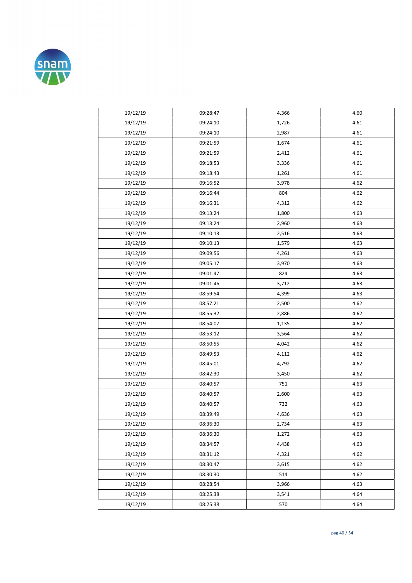

| 19/12/19 | 09:28:47 | 4,366 | 4.60 |
|----------|----------|-------|------|
| 19/12/19 | 09:24:10 | 1,726 | 4.61 |
| 19/12/19 | 09:24:10 | 2,987 | 4.61 |
| 19/12/19 | 09:21:59 | 1,674 | 4.61 |
| 19/12/19 | 09:21:59 | 2,412 | 4.61 |
| 19/12/19 | 09:18:53 | 3,336 | 4.61 |
| 19/12/19 | 09:18:43 | 1,261 | 4.61 |
| 19/12/19 | 09:16:52 | 3,978 | 4.62 |
| 19/12/19 | 09:16:44 | 804   | 4.62 |
| 19/12/19 | 09:16:31 | 4,312 | 4.62 |
| 19/12/19 | 09:13:24 | 1,800 | 4.63 |
| 19/12/19 | 09:13:24 | 2,960 | 4.63 |
| 19/12/19 | 09:10:13 | 2,516 | 4.63 |
| 19/12/19 | 09:10:13 | 1,579 | 4.63 |
| 19/12/19 | 09:09:56 | 4,261 | 4.63 |
| 19/12/19 | 09:05:17 | 3,970 | 4.63 |
| 19/12/19 | 09:01:47 | 824   | 4.63 |
| 19/12/19 | 09:01:46 | 3,712 | 4.63 |
| 19/12/19 | 08:59:54 | 4,399 | 4.63 |
| 19/12/19 | 08:57:21 | 2,500 | 4.62 |
| 19/12/19 | 08:55:32 | 2,886 | 4.62 |
| 19/12/19 | 08:54:07 | 1,135 | 4.62 |
| 19/12/19 | 08:53:12 | 3,564 | 4.62 |
| 19/12/19 | 08:50:55 | 4,042 | 4.62 |
| 19/12/19 | 08:49:53 | 4,112 | 4.62 |
| 19/12/19 | 08:45:01 | 4,792 | 4.62 |
| 19/12/19 | 08:42:30 | 3,450 | 4.62 |
| 19/12/19 | 08:40:57 | 751   | 4.63 |
| 19/12/19 | 08:40:57 | 2,600 | 4.63 |
| 19/12/19 | 08:40:57 | 732   | 4.63 |
| 19/12/19 | 08:39:49 | 4,636 | 4.63 |
| 19/12/19 | 08:36:30 | 2,734 | 4.63 |
| 19/12/19 | 08:36:30 | 1,272 | 4.63 |
| 19/12/19 | 08:34:57 | 4,438 | 4.63 |
| 19/12/19 | 08:31:12 | 4,321 | 4.62 |
| 19/12/19 | 08:30:47 | 3,615 | 4.62 |
| 19/12/19 | 08:30:30 | 514   | 4.62 |
| 19/12/19 | 08:28:54 | 3,966 | 4.63 |
| 19/12/19 | 08:25:38 | 3,541 | 4.64 |
| 19/12/19 | 08:25:38 | 570   | 4.64 |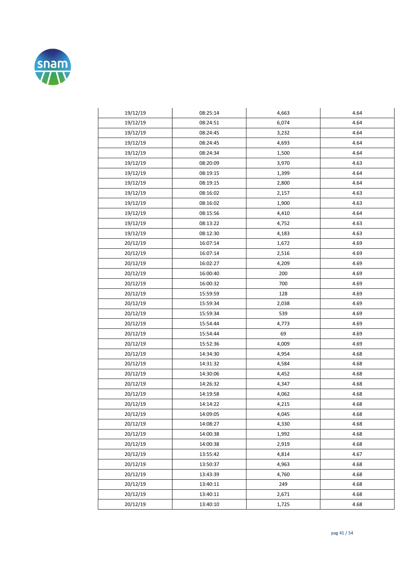

| 19/12/19 | 08:25:14 | 4,663 | 4.64 |
|----------|----------|-------|------|
| 19/12/19 | 08:24:51 | 6,074 | 4.64 |
| 19/12/19 | 08:24:45 | 3,232 | 4.64 |
| 19/12/19 | 08:24:45 | 4,693 | 4.64 |
| 19/12/19 | 08:24:34 | 1,500 | 4.64 |
| 19/12/19 | 08:20:09 | 3,970 | 4.63 |
| 19/12/19 | 08:19:15 | 1,399 | 4.64 |
| 19/12/19 | 08:19:15 | 2,800 | 4.64 |
| 19/12/19 | 08:16:02 | 2,157 | 4.63 |
| 19/12/19 | 08:16:02 | 1,900 | 4.63 |
| 19/12/19 | 08:15:56 | 4,410 | 4.64 |
| 19/12/19 | 08:13:22 | 4,752 | 4.63 |
| 19/12/19 | 08:12:30 | 4,183 | 4.63 |
| 20/12/19 | 16:07:14 | 1,672 | 4.69 |
| 20/12/19 | 16:07:14 | 2,516 | 4.69 |
| 20/12/19 | 16:02:27 | 4,209 | 4.69 |
| 20/12/19 | 16:00:40 | 200   | 4.69 |
| 20/12/19 | 16:00:32 | 700   | 4.69 |
| 20/12/19 | 15:59:59 | 128   | 4.69 |
| 20/12/19 | 15:59:34 | 2,038 | 4.69 |
| 20/12/19 | 15:59:34 | 539   | 4.69 |
| 20/12/19 | 15:54:44 | 4,773 | 4.69 |
| 20/12/19 | 15:54:44 | 69    | 4.69 |
| 20/12/19 | 15:52:36 | 4,009 | 4.69 |
| 20/12/19 | 14:34:30 | 4,954 | 4.68 |
| 20/12/19 | 14:31:32 | 4,584 | 4.68 |
| 20/12/19 | 14:30:06 | 4,452 | 4.68 |
| 20/12/19 | 14:26:32 | 4,347 | 4.68 |
| 20/12/19 | 14:19:58 | 4,062 | 4.68 |
| 20/12/19 | 14:14:22 | 4,215 | 4.68 |
| 20/12/19 | 14:09:05 | 4,045 | 4.68 |
| 20/12/19 | 14:08:27 | 4,330 | 4.68 |
| 20/12/19 | 14:00:38 | 1,992 | 4.68 |
| 20/12/19 | 14:00:38 | 2,919 | 4.68 |
| 20/12/19 | 13:55:42 | 4,814 | 4.67 |
| 20/12/19 | 13:50:37 | 4,963 | 4.68 |
| 20/12/19 | 13:43:39 | 4,760 | 4.68 |
| 20/12/19 | 13:40:11 | 249   | 4.68 |
| 20/12/19 | 13:40:11 | 2,671 | 4.68 |
| 20/12/19 | 13:40:10 | 1,725 | 4.68 |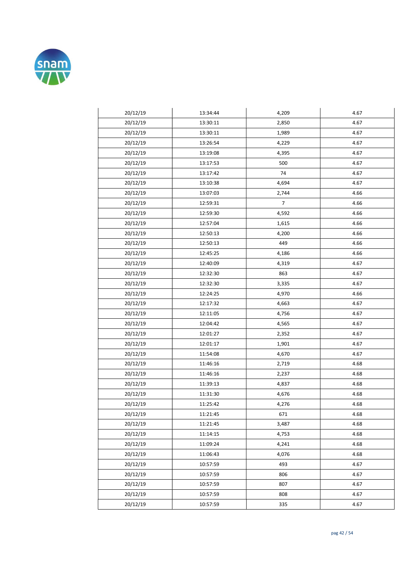

| 20/12/19 | 13:34:44 | 4,209          | 4.67 |
|----------|----------|----------------|------|
| 20/12/19 | 13:30:11 | 2,850          | 4.67 |
| 20/12/19 | 13:30:11 | 1,989          | 4.67 |
| 20/12/19 | 13:26:54 | 4,229          | 4.67 |
| 20/12/19 | 13:19:08 | 4,395          | 4.67 |
| 20/12/19 | 13:17:53 | 500            | 4.67 |
| 20/12/19 | 13:17:42 | 74             | 4.67 |
| 20/12/19 | 13:10:38 | 4,694          | 4.67 |
| 20/12/19 | 13:07:03 | 2,744          | 4.66 |
| 20/12/19 | 12:59:31 | $\overline{7}$ | 4.66 |
| 20/12/19 | 12:59:30 | 4,592          | 4.66 |
| 20/12/19 | 12:57:04 | 1,615          | 4.66 |
| 20/12/19 | 12:50:13 | 4,200          | 4.66 |
| 20/12/19 | 12:50:13 | 449            | 4.66 |
| 20/12/19 | 12:45:25 | 4,186          | 4.66 |
| 20/12/19 | 12:40:09 | 4,319          | 4.67 |
| 20/12/19 | 12:32:30 | 863            | 4.67 |
| 20/12/19 | 12:32:30 | 3,335          | 4.67 |
| 20/12/19 | 12:24:25 | 4,970          | 4.66 |
| 20/12/19 | 12:17:32 | 4,663          | 4.67 |
| 20/12/19 | 12:11:05 | 4,756          | 4.67 |
| 20/12/19 | 12:04:42 | 4,565          | 4.67 |
| 20/12/19 | 12:01:27 | 2,352          | 4.67 |
| 20/12/19 | 12:01:17 | 1,901          | 4.67 |
| 20/12/19 | 11:54:08 | 4,670          | 4.67 |
| 20/12/19 | 11:46:16 | 2,719          | 4.68 |
| 20/12/19 | 11:46:16 | 2,237          | 4.68 |
| 20/12/19 | 11:39:13 | 4,837          | 4.68 |
| 20/12/19 | 11:31:30 | 4,676          | 4.68 |
| 20/12/19 | 11:25:42 | 4,276          | 4.68 |
| 20/12/19 | 11:21:45 | 671            | 4.68 |
| 20/12/19 | 11:21:45 | 3,487          | 4.68 |
| 20/12/19 | 11:14:15 | 4,753          | 4.68 |
| 20/12/19 | 11:09:24 | 4,241          | 4.68 |
| 20/12/19 | 11:06:43 | 4,076          | 4.68 |
| 20/12/19 | 10:57:59 | 493            | 4.67 |
| 20/12/19 | 10:57:59 | 806            | 4.67 |
| 20/12/19 | 10:57:59 | 807            | 4.67 |
| 20/12/19 | 10:57:59 | 808            | 4.67 |
| 20/12/19 | 10:57:59 | 335            | 4.67 |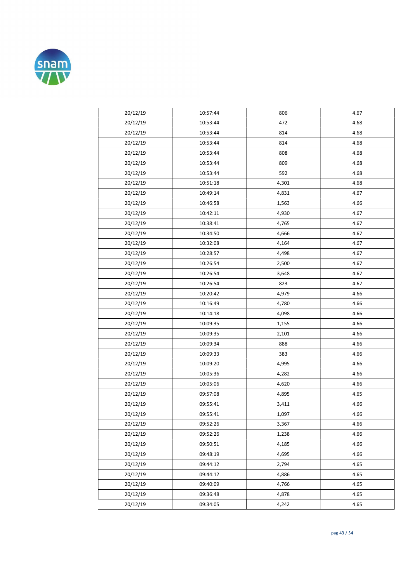

| 20/12/19 | 10:57:44 | 806   | 4.67 |
|----------|----------|-------|------|
| 20/12/19 | 10:53:44 | 472   | 4.68 |
| 20/12/19 | 10:53:44 | 814   | 4.68 |
| 20/12/19 | 10:53:44 | 814   | 4.68 |
| 20/12/19 | 10:53:44 | 808   | 4.68 |
| 20/12/19 | 10:53:44 | 809   | 4.68 |
| 20/12/19 | 10:53:44 | 592   | 4.68 |
| 20/12/19 | 10:51:18 | 4,301 | 4.68 |
| 20/12/19 | 10:49:14 | 4,831 | 4.67 |
| 20/12/19 | 10:46:58 | 1,563 | 4.66 |
| 20/12/19 | 10:42:11 | 4,930 | 4.67 |
| 20/12/19 | 10:38:41 | 4,765 | 4.67 |
| 20/12/19 | 10:34:50 | 4,666 | 4.67 |
| 20/12/19 | 10:32:08 | 4,164 | 4.67 |
| 20/12/19 | 10:28:57 | 4,498 | 4.67 |
| 20/12/19 | 10:26:54 | 2,500 | 4.67 |
| 20/12/19 | 10:26:54 | 3,648 | 4.67 |
| 20/12/19 | 10:26:54 | 823   | 4.67 |
| 20/12/19 | 10:20:42 | 4,979 | 4.66 |
| 20/12/19 | 10:16:49 | 4,780 | 4.66 |
| 20/12/19 | 10:14:18 | 4,098 | 4.66 |
| 20/12/19 | 10:09:35 | 1,155 | 4.66 |
| 20/12/19 | 10:09:35 | 2,101 | 4.66 |
| 20/12/19 | 10:09:34 | 888   | 4.66 |
| 20/12/19 | 10:09:33 | 383   | 4.66 |
| 20/12/19 | 10:09:20 | 4,995 | 4.66 |
| 20/12/19 | 10:05:36 | 4,282 | 4.66 |
| 20/12/19 | 10:05:06 | 4,620 | 4.66 |
| 20/12/19 | 09:57:08 | 4,895 | 4.65 |
| 20/12/19 | 09:55:41 | 3,411 | 4.66 |
| 20/12/19 | 09:55:41 | 1,097 | 4.66 |
| 20/12/19 | 09:52:26 | 3,367 | 4.66 |
| 20/12/19 | 09:52:26 | 1,238 | 4.66 |
| 20/12/19 | 09:50:51 | 4,185 | 4.66 |
| 20/12/19 | 09:48:19 | 4,695 | 4.66 |
| 20/12/19 | 09:44:12 | 2,794 | 4.65 |
| 20/12/19 | 09:44:12 | 4,886 | 4.65 |
| 20/12/19 | 09:40:09 | 4,766 | 4.65 |
| 20/12/19 | 09:36:48 | 4,878 | 4.65 |
| 20/12/19 | 09:34:05 | 4,242 | 4.65 |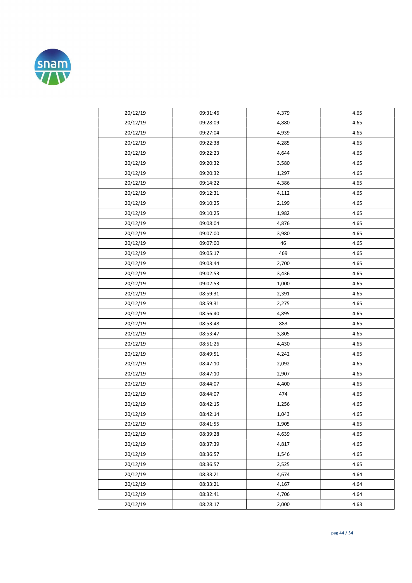

| 20/12/19 | 09:31:46 | 4,379 | 4.65 |
|----------|----------|-------|------|
| 20/12/19 | 09:28:09 | 4,880 | 4.65 |
| 20/12/19 | 09:27:04 | 4,939 | 4.65 |
| 20/12/19 | 09:22:38 | 4,285 | 4.65 |
| 20/12/19 | 09:22:23 | 4,644 | 4.65 |
| 20/12/19 | 09:20:32 | 3,580 | 4.65 |
| 20/12/19 | 09:20:32 | 1,297 | 4.65 |
| 20/12/19 | 09:14:22 | 4,386 | 4.65 |
| 20/12/19 | 09:12:31 | 4,112 | 4.65 |
| 20/12/19 | 09:10:25 | 2,199 | 4.65 |
| 20/12/19 | 09:10:25 | 1,982 | 4.65 |
| 20/12/19 | 09:08:04 | 4,876 | 4.65 |
| 20/12/19 | 09:07:00 | 3,980 | 4.65 |
| 20/12/19 | 09:07:00 | 46    | 4.65 |
| 20/12/19 | 09:05:17 | 469   | 4.65 |
| 20/12/19 | 09:03:44 | 2,700 | 4.65 |
| 20/12/19 | 09:02:53 | 3,436 | 4.65 |
| 20/12/19 | 09:02:53 | 1,000 | 4.65 |
| 20/12/19 | 08:59:31 | 2,391 | 4.65 |
| 20/12/19 | 08:59:31 | 2,275 | 4.65 |
| 20/12/19 | 08:56:40 | 4,895 | 4.65 |
| 20/12/19 | 08:53:48 | 883   | 4.65 |
| 20/12/19 | 08:53:47 | 3,805 | 4.65 |
| 20/12/19 | 08:51:26 | 4,430 | 4.65 |
| 20/12/19 | 08:49:51 | 4,242 | 4.65 |
| 20/12/19 | 08:47:10 | 2,092 | 4.65 |
| 20/12/19 | 08:47:10 | 2,907 | 4.65 |
| 20/12/19 | 08:44:07 | 4,400 | 4.65 |
| 20/12/19 | 08:44:07 | 474   | 4.65 |
| 20/12/19 | 08:42:15 | 1,256 | 4.65 |
| 20/12/19 | 08:42:14 | 1,043 | 4.65 |
| 20/12/19 | 08:41:55 | 1,905 | 4.65 |
| 20/12/19 | 08:39:28 | 4,639 | 4.65 |
| 20/12/19 | 08:37:39 | 4,817 | 4.65 |
| 20/12/19 | 08:36:57 | 1,546 | 4.65 |
| 20/12/19 | 08:36:57 | 2,525 | 4.65 |
| 20/12/19 | 08:33:21 | 4,674 | 4.64 |
| 20/12/19 | 08:33:21 | 4,167 | 4.64 |
| 20/12/19 | 08:32:41 | 4,706 | 4.64 |
| 20/12/19 | 08:28:17 | 2,000 | 4.63 |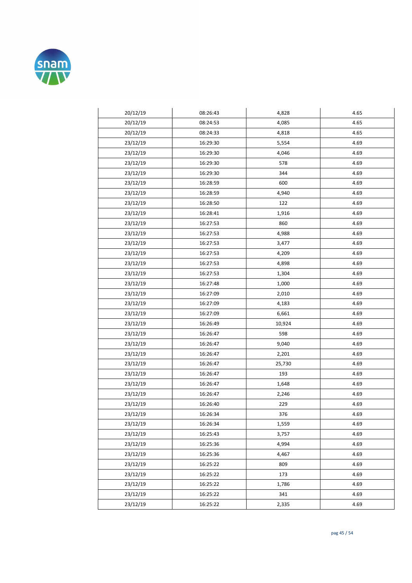

| 20/12/19 | 08:26:43 | 4,828  | 4.65 |
|----------|----------|--------|------|
| 20/12/19 | 08:24:53 | 4,085  | 4.65 |
| 20/12/19 | 08:24:33 | 4,818  | 4.65 |
| 23/12/19 | 16:29:30 | 5,554  | 4.69 |
| 23/12/19 | 16:29:30 | 4,046  | 4.69 |
| 23/12/19 | 16:29:30 | 578    | 4.69 |
| 23/12/19 | 16:29:30 | 344    | 4.69 |
| 23/12/19 | 16:28:59 | 600    | 4.69 |
| 23/12/19 | 16:28:59 | 4,940  | 4.69 |
| 23/12/19 | 16:28:50 | 122    | 4.69 |
| 23/12/19 | 16:28:41 | 1,916  | 4.69 |
| 23/12/19 | 16:27:53 | 860    | 4.69 |
| 23/12/19 | 16:27:53 | 4,988  | 4.69 |
| 23/12/19 | 16:27:53 | 3,477  | 4.69 |
| 23/12/19 | 16:27:53 | 4,209  | 4.69 |
| 23/12/19 | 16:27:53 | 4,898  | 4.69 |
| 23/12/19 | 16:27:53 | 1,304  | 4.69 |
| 23/12/19 | 16:27:48 | 1,000  | 4.69 |
| 23/12/19 | 16:27:09 | 2,010  | 4.69 |
| 23/12/19 | 16:27:09 | 4,183  | 4.69 |
| 23/12/19 | 16:27:09 | 6,661  | 4.69 |
| 23/12/19 | 16:26:49 | 10,924 | 4.69 |
| 23/12/19 | 16:26:47 | 598    | 4.69 |
| 23/12/19 | 16:26:47 | 9,040  | 4.69 |
| 23/12/19 | 16:26:47 | 2,201  | 4.69 |
| 23/12/19 | 16:26:47 | 25,730 | 4.69 |
| 23/12/19 | 16:26:47 | 193    | 4.69 |
| 23/12/19 | 16:26:47 | 1,648  | 4.69 |
| 23/12/19 | 16:26:47 | 2,246  | 4.69 |
| 23/12/19 | 16:26:40 | 229    | 4.69 |
| 23/12/19 | 16:26:34 | 376    | 4.69 |
| 23/12/19 | 16:26:34 | 1,559  | 4.69 |
| 23/12/19 | 16:25:43 | 3,757  | 4.69 |
| 23/12/19 | 16:25:36 | 4,994  | 4.69 |
| 23/12/19 | 16:25:36 | 4,467  | 4.69 |
| 23/12/19 | 16:25:22 | 809    | 4.69 |
| 23/12/19 | 16:25:22 | 173    | 4.69 |
| 23/12/19 | 16:25:22 | 1,786  | 4.69 |
| 23/12/19 | 16:25:22 | 341    | 4.69 |
| 23/12/19 | 16:25:22 | 2,335  | 4.69 |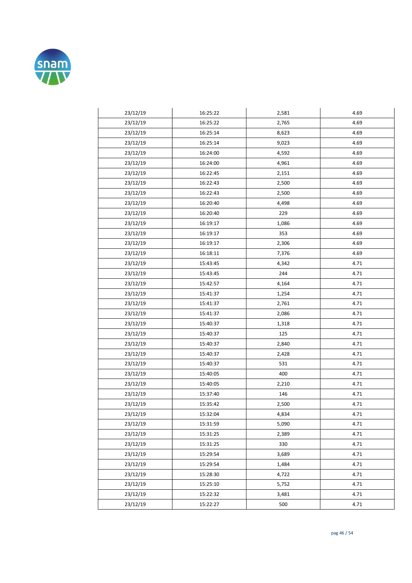

| 23/12/19 | 16:25:22 | 2,581 | 4.69 |
|----------|----------|-------|------|
| 23/12/19 | 16:25:22 | 2,765 | 4.69 |
| 23/12/19 | 16:25:14 | 8,623 | 4.69 |
| 23/12/19 | 16:25:14 | 9,023 | 4.69 |
| 23/12/19 | 16:24:00 | 4,592 | 4.69 |
| 23/12/19 | 16:24:00 | 4,961 | 4.69 |
| 23/12/19 | 16:22:45 | 2,151 | 4.69 |
| 23/12/19 | 16:22:43 | 2,500 | 4.69 |
| 23/12/19 | 16:22:43 | 2,500 | 4.69 |
| 23/12/19 | 16:20:40 | 4,498 | 4.69 |
| 23/12/19 | 16:20:40 | 229   | 4.69 |
| 23/12/19 | 16:19:17 | 1,086 | 4.69 |
| 23/12/19 | 16:19:17 | 353   | 4.69 |
| 23/12/19 | 16:19:17 | 2,306 | 4.69 |
| 23/12/19 | 16:18:11 | 7,376 | 4.69 |
| 23/12/19 | 15:43:45 | 4,342 | 4.71 |
| 23/12/19 | 15:43:45 | 244   | 4.71 |
| 23/12/19 | 15:42:57 | 4,164 | 4.71 |
| 23/12/19 | 15:41:37 | 1,254 | 4.71 |
| 23/12/19 | 15:41:37 | 2,761 | 4.71 |
| 23/12/19 | 15:41:37 | 2,086 | 4.71 |
| 23/12/19 | 15:40:37 | 1,318 | 4.71 |
| 23/12/19 | 15:40:37 | 125   | 4.71 |
| 23/12/19 | 15:40:37 | 2,840 | 4.71 |
| 23/12/19 | 15:40:37 | 2,428 | 4.71 |
| 23/12/19 | 15:40:37 | 531   | 4.71 |
| 23/12/19 | 15:40:05 | 400   | 4.71 |
| 23/12/19 | 15:40:05 | 2,210 | 4.71 |
| 23/12/19 | 15:37:40 | 146   | 4.71 |
| 23/12/19 | 15:35:42 | 2,500 | 4.71 |
| 23/12/19 | 15:32:04 | 4,834 | 4.71 |
| 23/12/19 | 15:31:59 | 5,090 | 4.71 |
| 23/12/19 | 15:31:25 | 2,389 | 4.71 |
| 23/12/19 | 15:31:25 | 330   | 4.71 |
| 23/12/19 | 15:29:54 | 3,689 | 4.71 |
| 23/12/19 | 15:29:54 | 1,484 | 4.71 |
| 23/12/19 | 15:28:30 | 4,722 | 4.71 |
| 23/12/19 | 15:25:10 | 5,752 | 4.71 |
| 23/12/19 | 15:22:32 | 3,481 | 4.71 |
| 23/12/19 | 15:22:27 | 500   | 4.71 |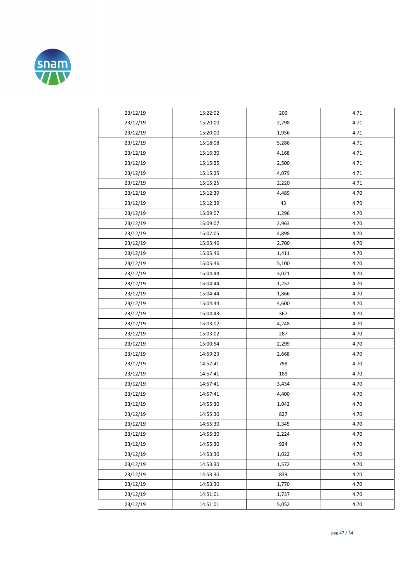

| 23/12/19 | 15:22:02 | 200   | 4.71 |
|----------|----------|-------|------|
| 23/12/19 | 15:20:00 | 2,298 | 4.71 |
| 23/12/19 | 15:20:00 | 1,956 | 4.71 |
| 23/12/19 | 15:18:08 | 5,286 | 4.71 |
| 23/12/19 | 15:16:30 | 4,168 | 4.71 |
| 23/12/19 | 15:15:25 | 2,500 | 4.71 |
| 23/12/19 | 15:15:25 | 4,079 | 4.71 |
| 23/12/19 | 15:15:25 | 2,220 | 4.71 |
| 23/12/19 | 15:12:39 | 4,489 | 4.70 |
| 23/12/19 | 15:12:39 | 43    | 4.70 |
| 23/12/19 | 15:09:07 | 1,296 | 4.70 |
| 23/12/19 | 15:09:07 | 2,963 | 4.70 |
| 23/12/19 | 15:07:05 | 4,898 | 4.70 |
| 23/12/19 | 15:05:46 | 2,700 | 4.70 |
| 23/12/19 | 15:05:46 | 1,411 | 4.70 |
| 23/12/19 | 15:05:46 | 5,100 | 4.70 |
| 23/12/19 | 15:04:44 | 3,021 | 4.70 |
| 23/12/19 | 15:04:44 | 1,252 | 4.70 |
| 23/12/19 | 15:04:44 | 1,866 | 4.70 |
| 23/12/19 | 15:04:44 | 4,600 | 4.70 |
| 23/12/19 | 15:04:43 | 367   | 4.70 |
| 23/12/19 | 15:03:02 | 4,248 | 4.70 |
| 23/12/19 | 15:03:02 | 287   | 4.70 |
| 23/12/19 | 15:00:54 | 2,299 | 4.70 |
| 23/12/19 | 14:59:23 | 2,668 | 4.70 |
| 23/12/19 | 14:57:41 | 798   | 4.70 |
| 23/12/19 | 14:57:41 | 189   | 4.70 |
| 23/12/19 | 14:57:41 | 3,434 | 4.70 |
| 23/12/19 | 14:57:41 | 4,400 | 4.70 |
| 23/12/19 | 14:55:30 | 1,042 | 4.70 |
| 23/12/19 | 14:55:30 | 827   | 4.70 |
| 23/12/19 | 14:55:30 | 1,345 | 4.70 |
| 23/12/19 | 14:55:30 | 2,224 | 4.70 |
| 23/12/19 | 14:55:30 | 924   | 4.70 |
| 23/12/19 | 14:53:30 | 1,022 | 4.70 |
| 23/12/19 | 14:53:30 | 1,572 | 4.70 |
| 23/12/19 | 14:53:30 | 839   | 4.70 |
| 23/12/19 | 14:53:30 | 1,770 | 4.70 |
| 23/12/19 | 14:51:01 | 1,737 | 4.70 |
| 23/12/19 | 14:51:01 | 5,052 | 4.70 |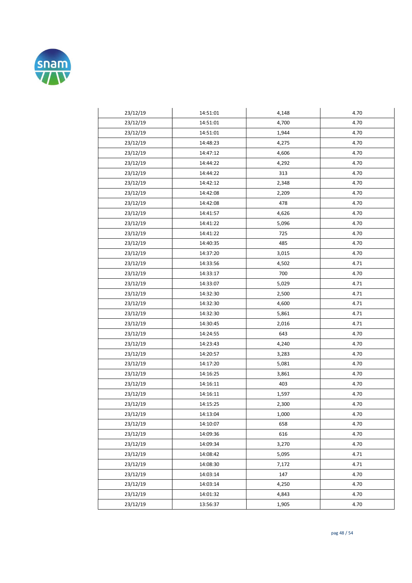

| 23/12/19 | 14:51:01 | 4,148 | 4.70 |
|----------|----------|-------|------|
| 23/12/19 | 14:51:01 | 4,700 | 4.70 |
| 23/12/19 | 14:51:01 | 1,944 | 4.70 |
| 23/12/19 | 14:48:23 | 4,275 | 4.70 |
| 23/12/19 | 14:47:12 | 4,606 | 4.70 |
| 23/12/19 | 14:44:22 | 4,292 | 4.70 |
| 23/12/19 | 14:44:22 | 313   | 4.70 |
| 23/12/19 | 14:42:12 | 2,348 | 4.70 |
| 23/12/19 | 14:42:08 | 2,209 | 4.70 |
| 23/12/19 | 14:42:08 | 478   | 4.70 |
| 23/12/19 | 14:41:57 | 4,626 | 4.70 |
| 23/12/19 | 14:41:22 | 5,096 | 4.70 |
| 23/12/19 | 14:41:22 | 725   | 4.70 |
| 23/12/19 | 14:40:35 | 485   | 4.70 |
| 23/12/19 | 14:37:20 | 3,015 | 4.70 |
| 23/12/19 | 14:33:56 | 4,502 | 4.71 |
| 23/12/19 | 14:33:17 | 700   | 4.70 |
| 23/12/19 | 14:33:07 | 5,029 | 4.71 |
| 23/12/19 | 14:32:30 | 2,500 | 4.71 |
| 23/12/19 | 14:32:30 | 4,600 | 4.71 |
| 23/12/19 | 14:32:30 | 5,861 | 4.71 |
| 23/12/19 | 14:30:45 | 2,016 | 4.71 |
| 23/12/19 | 14:24:55 | 643   | 4.70 |
| 23/12/19 | 14:23:43 | 4,240 | 4.70 |
| 23/12/19 | 14:20:57 | 3,283 | 4.70 |
| 23/12/19 | 14:17:20 | 5,081 | 4.70 |
| 23/12/19 | 14:16:25 | 3,861 | 4.70 |
| 23/12/19 | 14:16:11 | 403   | 4.70 |
| 23/12/19 | 14:16:11 | 1,597 | 4.70 |
| 23/12/19 | 14:15:25 | 2,300 | 4.70 |
| 23/12/19 | 14:13:04 | 1,000 | 4.70 |
| 23/12/19 | 14:10:07 | 658   | 4.70 |
| 23/12/19 | 14:09:36 | 616   | 4.70 |
| 23/12/19 | 14:09:34 | 3,270 | 4.70 |
| 23/12/19 | 14:08:42 | 5,095 | 4.71 |
| 23/12/19 | 14:08:30 | 7,172 | 4.71 |
| 23/12/19 | 14:03:14 | 147   | 4.70 |
| 23/12/19 | 14:03:14 | 4,250 | 4.70 |
| 23/12/19 | 14:01:32 | 4,843 | 4.70 |
| 23/12/19 | 13:56:37 | 1,905 | 4.70 |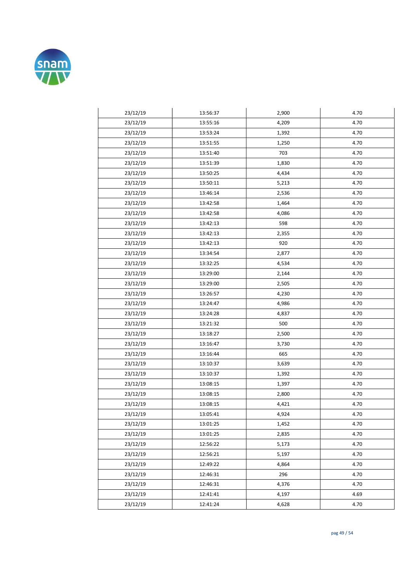

| 23/12/19 | 13:56:37 | 2,900 | 4.70 |
|----------|----------|-------|------|
| 23/12/19 | 13:55:16 | 4,209 | 4.70 |
| 23/12/19 | 13:53:24 | 1,392 | 4.70 |
| 23/12/19 | 13:51:55 | 1,250 | 4.70 |
| 23/12/19 | 13:51:40 | 703   | 4.70 |
| 23/12/19 | 13:51:39 | 1,830 | 4.70 |
| 23/12/19 | 13:50:25 | 4,434 | 4.70 |
| 23/12/19 | 13:50:11 | 5,213 | 4.70 |
| 23/12/19 | 13:46:14 | 2,536 | 4.70 |
| 23/12/19 | 13:42:58 | 1,464 | 4.70 |
| 23/12/19 | 13:42:58 | 4,086 | 4.70 |
| 23/12/19 | 13:42:13 | 598   | 4.70 |
| 23/12/19 | 13:42:13 | 2,355 | 4.70 |
| 23/12/19 | 13:42:13 | 920   | 4.70 |
| 23/12/19 | 13:34:54 | 2,877 | 4.70 |
| 23/12/19 | 13:32:25 | 4,534 | 4.70 |
| 23/12/19 | 13:29:00 | 2,144 | 4.70 |
| 23/12/19 | 13:29:00 | 2,505 | 4.70 |
| 23/12/19 | 13:26:57 | 4,230 | 4.70 |
| 23/12/19 | 13:24:47 | 4,986 | 4.70 |
| 23/12/19 | 13:24:28 | 4,837 | 4.70 |
| 23/12/19 | 13:21:32 | 500   | 4.70 |
| 23/12/19 | 13:18:27 | 2,500 | 4.70 |
| 23/12/19 | 13:16:47 | 3,730 | 4.70 |
| 23/12/19 | 13:16:44 | 665   | 4.70 |
| 23/12/19 | 13:10:37 | 3,639 | 4.70 |
| 23/12/19 | 13:10:37 | 1,392 | 4.70 |
| 23/12/19 | 13:08:15 | 1,397 | 4.70 |
| 23/12/19 | 13:08:15 | 2,800 | 4.70 |
| 23/12/19 | 13:08:15 | 4,421 | 4.70 |
| 23/12/19 | 13:05:41 | 4,924 | 4.70 |
| 23/12/19 | 13:01:25 | 1,452 | 4.70 |
| 23/12/19 | 13:01:25 | 2,835 | 4.70 |
| 23/12/19 | 12:56:22 | 5,173 | 4.70 |
| 23/12/19 | 12:56:21 | 5,197 | 4.70 |
| 23/12/19 | 12:49:22 | 4,864 | 4.70 |
| 23/12/19 | 12:46:31 | 296   | 4.70 |
| 23/12/19 | 12:46:31 | 4,376 | 4.70 |
| 23/12/19 | 12:41:41 | 4,197 | 4.69 |
| 23/12/19 | 12:41:24 | 4,628 | 4.70 |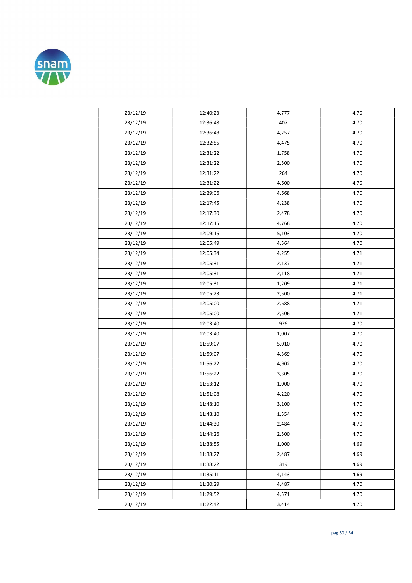

| 23/12/19 | 12:40:23 | 4,777 | 4.70 |
|----------|----------|-------|------|
| 23/12/19 | 12:36:48 | 407   | 4.70 |
| 23/12/19 | 12:36:48 | 4,257 | 4.70 |
| 23/12/19 | 12:32:55 | 4,475 | 4.70 |
| 23/12/19 | 12:31:22 | 1,758 | 4.70 |
| 23/12/19 | 12:31:22 | 2,500 | 4.70 |
| 23/12/19 | 12:31:22 | 264   | 4.70 |
| 23/12/19 | 12:31:22 | 4,600 | 4.70 |
| 23/12/19 | 12:29:06 | 4,668 | 4.70 |
| 23/12/19 | 12:17:45 | 4,238 | 4.70 |
| 23/12/19 | 12:17:30 | 2,478 | 4.70 |
| 23/12/19 | 12:17:15 | 4,768 | 4.70 |
| 23/12/19 | 12:09:16 | 5,103 | 4.70 |
| 23/12/19 | 12:05:49 | 4,564 | 4.70 |
| 23/12/19 | 12:05:34 | 4,255 | 4.71 |
| 23/12/19 | 12:05:31 | 2,137 | 4.71 |
| 23/12/19 | 12:05:31 | 2,118 | 4.71 |
| 23/12/19 | 12:05:31 | 1,209 | 4.71 |
| 23/12/19 | 12:05:23 | 2,500 | 4.71 |
| 23/12/19 | 12:05:00 | 2,688 | 4.71 |
| 23/12/19 | 12:05:00 | 2,506 | 4.71 |
| 23/12/19 | 12:03:40 | 976   | 4.70 |
| 23/12/19 | 12:03:40 | 1,007 | 4.70 |
| 23/12/19 | 11:59:07 | 5,010 | 4.70 |
| 23/12/19 | 11:59:07 | 4,369 | 4.70 |
| 23/12/19 | 11:56:22 | 4,902 | 4.70 |
| 23/12/19 | 11:56:22 | 3,305 | 4.70 |
| 23/12/19 | 11:53:12 | 1,000 | 4.70 |
| 23/12/19 | 11:51:08 | 4,220 | 4.70 |
| 23/12/19 | 11:48:10 | 3,100 | 4.70 |
| 23/12/19 | 11:48:10 | 1,554 | 4.70 |
| 23/12/19 | 11:44:30 | 2,484 | 4.70 |
| 23/12/19 | 11:44:26 | 2,500 | 4.70 |
| 23/12/19 | 11:38:55 | 1,000 | 4.69 |
| 23/12/19 | 11:38:27 | 2,487 | 4.69 |
| 23/12/19 | 11:38:22 | 319   | 4.69 |
| 23/12/19 | 11:35:11 | 4,143 | 4.69 |
| 23/12/19 | 11:30:29 | 4,487 | 4.70 |
| 23/12/19 | 11:29:52 | 4,571 | 4.70 |
| 23/12/19 | 11:22:42 | 3,414 | 4.70 |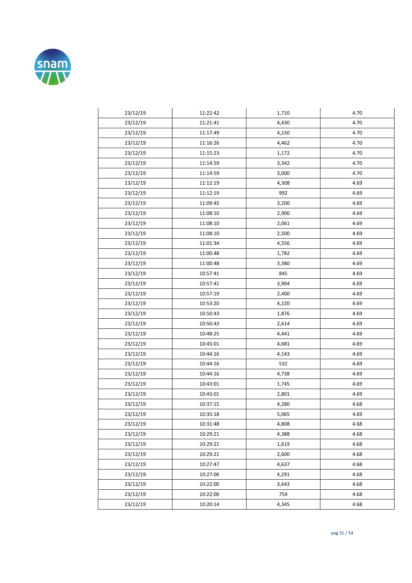

| 23/12/19 | 11:22:42 | 1,710 | 4.70 |
|----------|----------|-------|------|
| 23/12/19 | 11:21:41 | 4,430 | 4.70 |
| 23/12/19 | 11:17:49 | 4,150 | 4.70 |
| 23/12/19 | 11:16:26 | 4,462 | 4.70 |
| 23/12/19 | 11:15:23 | 1,172 | 4.70 |
| 23/12/19 | 11:14:59 | 3,342 | 4.70 |
| 23/12/19 | 11:14:59 | 3,000 | 4.70 |
| 23/12/19 | 11:12:19 | 4,308 | 4.69 |
| 23/12/19 | 11:12:19 | 992   | 4.69 |
| 23/12/19 | 11:09:45 | 3,200 | 4.69 |
| 23/12/19 | 11:08:10 | 2,900 | 4.69 |
| 23/12/19 | 11:08:10 | 2,061 | 4.69 |
| 23/12/19 | 11:08:10 | 2,500 | 4.69 |
| 23/12/19 | 11:01:34 | 4,556 | 4.69 |
| 23/12/19 | 11:00:48 | 1,782 | 4.69 |
| 23/12/19 | 11:00:48 | 3,380 | 4.69 |
| 23/12/19 | 10:57:41 | 845   | 4.69 |
| 23/12/19 | 10:57:41 | 3,904 | 4.69 |
| 23/12/19 | 10:57:19 | 2,400 | 4.69 |
| 23/12/19 | 10:53:20 | 4,220 | 4.69 |
| 23/12/19 | 10:50:43 | 1,876 | 4.69 |
| 23/12/19 | 10:50:43 | 2,614 | 4.69 |
| 23/12/19 | 10:48:25 | 4,441 | 4.69 |
| 23/12/19 | 10:45:01 | 4,681 | 4.69 |
| 23/12/19 | 10:44:16 | 4,143 | 4.69 |
| 23/12/19 | 10:44:16 | 532   | 4.69 |
| 23/12/19 | 10:44:16 | 4,738 | 4.69 |
| 23/12/19 | 10:43:01 | 1,745 | 4.69 |
| 23/12/19 | 10:43:01 | 2,801 | 4.69 |
| 23/12/19 | 10:37:15 | 4,280 | 4.68 |
| 23/12/19 | 10:35:18 | 5,065 | 4.69 |
| 23/12/19 | 10:31:48 | 4,808 | 4.68 |
| 23/12/19 | 10:29:21 | 4,388 | 4.68 |
| 23/12/19 | 10:29:21 | 1,619 | 4.68 |
| 23/12/19 | 10:29:21 | 2,600 | 4.68 |
| 23/12/19 | 10:27:47 | 4,637 | 4.68 |
| 23/12/19 | 10:27:06 | 4,291 | 4.68 |
| 23/12/19 | 10:22:00 | 3,643 | 4.68 |
| 23/12/19 | 10:22:00 | 754   | 4.68 |
| 23/12/19 | 10:20:14 | 4,345 | 4.68 |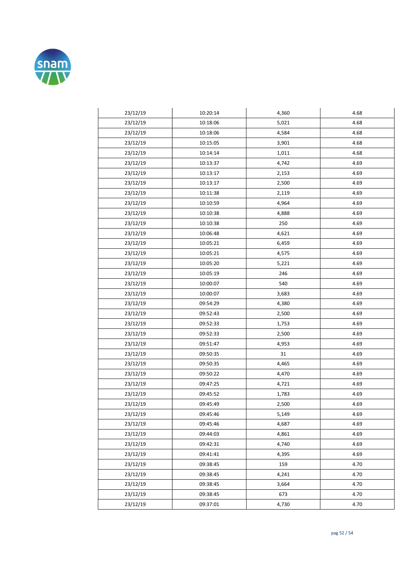

| 23/12/19 | 10:20:14 | 4,360 | 4.68 |
|----------|----------|-------|------|
| 23/12/19 | 10:18:06 | 5,021 | 4.68 |
| 23/12/19 | 10:18:06 | 4,584 | 4.68 |
| 23/12/19 | 10:15:05 | 3,901 | 4.68 |
| 23/12/19 | 10:14:14 | 1,011 | 4.68 |
| 23/12/19 | 10:13:37 | 4,742 | 4.69 |
| 23/12/19 | 10:13:17 | 2,153 | 4.69 |
| 23/12/19 | 10:13:17 | 2,500 | 4.69 |
| 23/12/19 | 10:11:38 | 2,119 | 4.69 |
| 23/12/19 | 10:10:59 | 4,964 | 4.69 |
| 23/12/19 | 10:10:38 | 4,888 | 4.69 |
| 23/12/19 | 10:10:38 | 250   | 4.69 |
| 23/12/19 | 10:06:48 | 4,621 | 4.69 |
| 23/12/19 | 10:05:21 | 6,459 | 4.69 |
| 23/12/19 | 10:05:21 | 4,575 | 4.69 |
| 23/12/19 | 10:05:20 | 5,221 | 4.69 |
| 23/12/19 | 10:05:19 | 246   | 4.69 |
| 23/12/19 | 10:00:07 | 540   | 4.69 |
| 23/12/19 | 10:00:07 | 3,683 | 4.69 |
| 23/12/19 | 09:54:29 | 4,380 | 4.69 |
| 23/12/19 | 09:52:43 | 2,500 | 4.69 |
| 23/12/19 | 09:52:33 | 1,753 | 4.69 |
| 23/12/19 | 09:52:33 | 2,500 | 4.69 |
| 23/12/19 | 09:51:47 | 4,953 | 4.69 |
| 23/12/19 | 09:50:35 | 31    | 4.69 |
| 23/12/19 | 09:50:35 | 4,465 | 4.69 |
| 23/12/19 | 09:50:22 | 4,470 | 4.69 |
| 23/12/19 | 09:47:25 | 4,721 | 4.69 |
| 23/12/19 | 09:45:52 | 1,783 | 4.69 |
| 23/12/19 | 09:45:49 | 2,500 | 4.69 |
| 23/12/19 | 09:45:46 | 5,149 | 4.69 |
| 23/12/19 | 09:45:46 | 4,687 | 4.69 |
| 23/12/19 | 09:44:03 | 4,861 | 4.69 |
| 23/12/19 | 09:42:31 | 4,740 | 4.69 |
| 23/12/19 | 09:41:41 | 4,395 | 4.69 |
| 23/12/19 | 09:38:45 | 159   | 4.70 |
| 23/12/19 | 09:38:45 | 4,241 | 4.70 |
| 23/12/19 | 09:38:45 | 3,664 | 4.70 |
| 23/12/19 | 09:38:45 | 673   | 4.70 |
| 23/12/19 | 09:37:01 | 4,730 | 4.70 |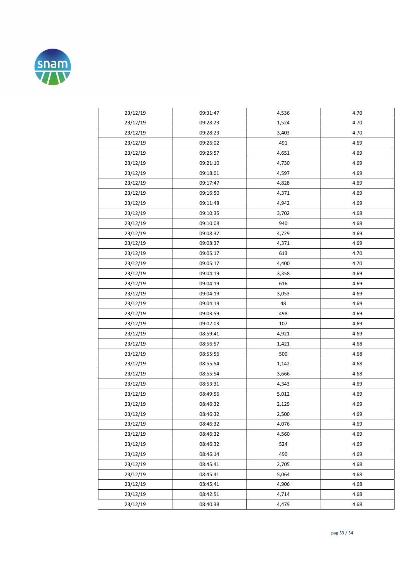

| 23/12/19 | 09:31:47 | 4,536 | 4.70 |
|----------|----------|-------|------|
| 23/12/19 | 09:28:23 | 1,524 | 4.70 |
| 23/12/19 | 09:28:23 | 3,403 | 4.70 |
| 23/12/19 | 09:26:02 | 491   | 4.69 |
| 23/12/19 | 09:25:57 | 4,651 | 4.69 |
| 23/12/19 | 09:21:10 | 4,730 | 4.69 |
| 23/12/19 | 09:18:01 | 4,597 | 4.69 |
| 23/12/19 | 09:17:47 | 4,828 | 4.69 |
| 23/12/19 | 09:16:50 | 4,371 | 4.69 |
| 23/12/19 | 09:11:48 | 4,942 | 4.69 |
| 23/12/19 | 09:10:35 | 3,702 | 4.68 |
| 23/12/19 | 09:10:08 | 940   | 4.68 |
| 23/12/19 | 09:08:37 | 4,729 | 4.69 |
| 23/12/19 | 09:08:37 | 4,371 | 4.69 |
| 23/12/19 | 09:05:17 | 613   | 4.70 |
| 23/12/19 | 09:05:17 | 4,400 | 4.70 |
| 23/12/19 | 09:04:19 | 3,358 | 4.69 |
| 23/12/19 | 09:04:19 | 616   | 4.69 |
| 23/12/19 | 09:04:19 | 3,053 | 4.69 |
| 23/12/19 | 09:04:19 | 48    | 4.69 |
| 23/12/19 | 09:03:59 | 498   | 4.69 |
| 23/12/19 | 09:02:03 | 107   | 4.69 |
| 23/12/19 | 08:59:41 | 4,921 | 4.69 |
| 23/12/19 | 08:56:57 | 1,421 | 4.68 |
| 23/12/19 | 08:55:56 | 500   | 4.68 |
| 23/12/19 | 08:55:54 | 1,142 | 4.68 |
| 23/12/19 | 08:55:54 | 3,666 | 4.68 |
| 23/12/19 | 08:53:31 | 4,343 | 4.69 |
| 23/12/19 | 08:49:56 | 5,012 | 4.69 |
| 23/12/19 | 08:46:32 | 2,129 | 4.69 |
| 23/12/19 | 08:46:32 | 2,500 | 4.69 |
| 23/12/19 | 08:46:32 | 4,076 | 4.69 |
| 23/12/19 | 08:46:32 | 4,560 | 4.69 |
| 23/12/19 | 08:46:32 | 524   | 4.69 |
| 23/12/19 | 08:46:14 | 490   | 4.69 |
| 23/12/19 | 08:45:41 | 2,705 | 4.68 |
| 23/12/19 | 08:45:41 | 5,064 | 4.68 |
| 23/12/19 | 08:45:41 | 4,906 | 4.68 |
| 23/12/19 | 08:42:51 | 4,714 | 4.68 |
| 23/12/19 | 08:40:38 | 4,479 | 4.68 |